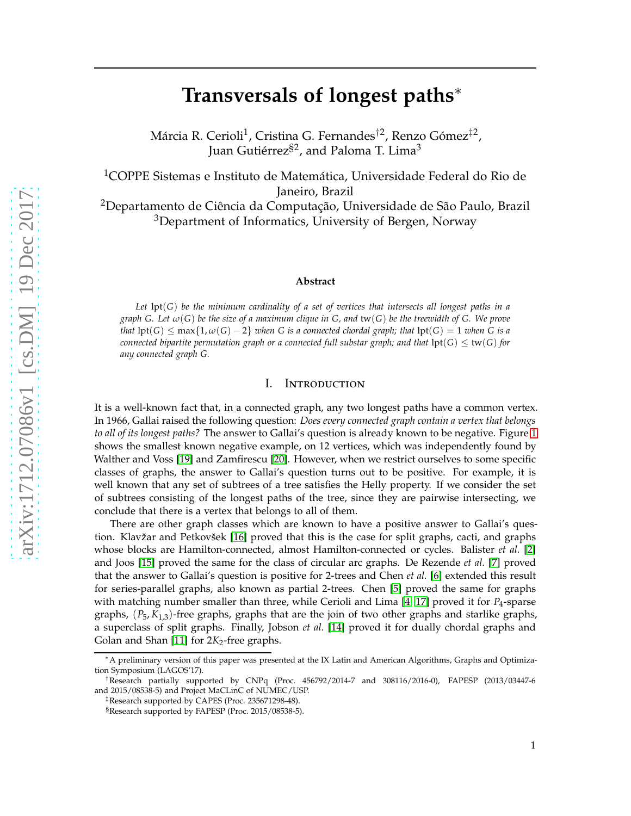# **Transversals of longest paths**∗

Márcia R. Cerioli<sup>1</sup>, Cristina G. Fernandes<sup>†2</sup>, Renzo Gómez<sup>‡2</sup>, Juan Gutiérrez<sup>§2</sup>, and Paloma T. Lima<sup>3</sup>

<sup>1</sup>COPPE Sistemas e Instituto de Matemática, Universidade Federal do Rio de Janeiro, Brazil

<sup>2</sup>Departamento de Ciência da Computação, Universidade de São Paulo, Brazil <sup>3</sup>Department of Informatics, University of Bergen, Norway

#### **Abstract**

*Let* lpt(*G*) *be the minimum cardinality of a set of vertices that intersects all longest paths in a graph G. Let ω*(*G*) *be the size of a maximum clique in G, and* tw(*G*) *be the treewidth of G. We prove that*  $\text{lpt}(G) \leq \max\{1, \omega(G) - 2\}$  *when* G is a connected chordal graph; that  $\text{lpt}(G) = 1$  *when* G is a *connected bipartite permutation graph or a connected full substar graph; and that*  $\text{lpt}(G) \leq \text{tw}(G)$  *for any connected graph G.*

# I. Introduction

It is a well-known fact that, in a connected graph, any two longest paths have a common vertex. In 1966, Gallai raised the following question: *Does every connected graph contain a vertex that belongs to all of its longest paths?* The answer to Gallai's question is already known to be negative. Figure [1](#page-1-0) shows the smallest known negative example, on 12 vertices, which was independently found by Walther and Voss [\[19\]](#page-18-0) and Zamfirescu [\[20\]](#page-18-1). However, when we restrict ourselves to some specific classes of graphs, the answer to Gallai's question turns out to be positive. For example, it is well known that any set of subtrees of a tree satisfies the Helly property. If we consider the set of subtrees consisting of the longest paths of the tree, since they are pairwise intersecting, we conclude that there is a vertex that belongs to all of them.

There are other graph classes which are known to have a positive answer to Gallai's question. Klavžar and Petkovšek [\[16\]](#page-18-2) proved that this is the case for split graphs, cacti, and graphs whose blocks are Hamilton-connected, almost Hamilton-connected or cycles. Balister *et al.* [\[2\]](#page-17-0) and Joos [\[15\]](#page-18-3) proved the same for the class of circular arc graphs. De Rezende *et al.* [\[7\]](#page-18-4) proved that the answer to Gallai's question is positive for 2-trees and Chen *et al.* [\[6\]](#page-18-5) extended this result for series-parallel graphs, also known as partial 2-trees. Chen [\[5\]](#page-18-6) proved the same for graphs with matching number smaller than three, while Cerioli and Lima [\[4,](#page-17-1) [17\]](#page-18-7) proved it for *P*4-sparse graphs, (*P*5, *K*1,3)-free graphs, graphs that are the join of two other graphs and starlike graphs, a superclass of split graphs. Finally, Jobson *et al.* [\[14\]](#page-18-8) proved it for dually chordal graphs and Golan and Shan [\[11\]](#page-18-9) for 2K<sub>2</sub>-free graphs.

<sup>∗</sup>A preliminary version of this paper was presented at the IX Latin and American Algorithms, Graphs and Optimization Symposium (LAGOS'17).

<sup>†</sup>Research partially supported by CNPq (Proc. 456792/2014-7 and 308116/2016-0), FAPESP (2013/03447-6 and 2015/08538-5) and Project MaCLinC of NUMEC/USP.

<sup>‡</sup>Research supported by CAPES (Proc. 235671298-48).

<sup>§</sup>Research supported by FAPESP (Proc. 2015/08538-5).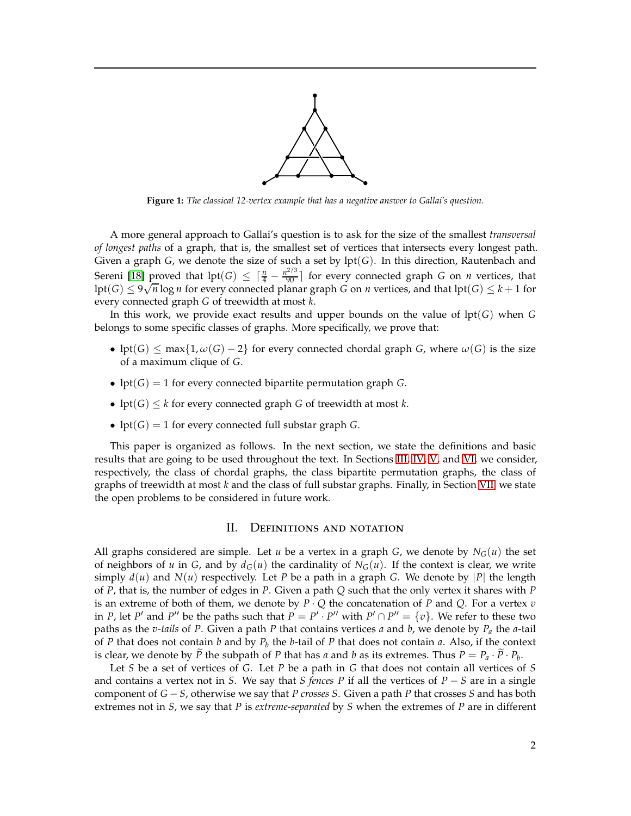

<span id="page-1-0"></span>**Figure 1:** *The classical 12-vertex example that has a negative answer to Gallai's question.*

A more general approach to Gallai's question is to ask for the size of the smallest *transversal of longest paths* of a graph, that is, the smallest set of vertices that intersects every longest path. Given a graph *G*, we denote the size of such a set by lpt(*G*). In this direction, Rautenbach and Sereni [\[18\]](#page-18-10) proved that  $\text{lpt}(G) \leq \lceil \frac{n}{4} - \frac{n^{2/3}}{90} \rceil$  for every connected graph *G* on *n* vertices, that  $\ln(f) \leq 9\sqrt{n} \log n$  for every connected planar graph *G* on *n* vertices, and that  $\ln(f) \leq k+1$  for every connected graph *G* of treewidth at most *k*.

In this work, we provide exact results and upper bounds on the value of lpt(*G*) when *G* belongs to some specific classes of graphs. More specifically, we prove that:

- lpt(*G*)  $\leq$  max{1,  $\omega(G) 2$ } for every connected chordal graph *G*, where  $\omega(G)$  is the size of a maximum clique of *G*.
- lpt( $G$ ) = 1 for every connected bipartite permutation graph  $G$ .
- lpt( $G$ )  $\leq k$  for every connected graph  $G$  of treewidth at most  $k$ .
- lpt( $G$ ) = 1 for every connected full substar graph  $G$ .

<span id="page-1-1"></span>This paper is organized as follows. In the next section, we state the definitions and basic results that are going to be used throughout the text. In Sections [III,](#page-3-0) [IV,](#page-8-0) [V,](#page-13-0) and [VI,](#page-15-0) we consider, respectively, the class of chordal graphs, the class bipartite permutation graphs, the class of graphs of treewidth at most *k* and the class of full substar graphs. Finally, in Section [VII,](#page-17-2) we state the open problems to be considered in future work.

# II. Definitions and notation

All graphs considered are simple. Let *u* be a vertex in a graph *G*, we denote by  $N_G(u)$  the set of neighbors of *u* in *G*, and by  $d_G(u)$  the cardinality of  $N_G(u)$ . If the context is clear, we write simply  $d(u)$  and  $N(u)$  respectively. Let *P* be a path in a graph *G*. We denote by |*P*| the length of *P*, that is, the number of edges in *P*. Given a path *Q* such that the only vertex it shares with *P* is an extreme of both of them, we denote by  $P \cdot Q$  the concatenation of  $P$  and  $Q$ . For a vertex  $v$ in *P*, let *P'* and *P''* be the paths such that  $P = P' \cdot P''$  with  $P' \cap P'' = \{v\}$ . We refer to these two paths as the *v-tails* of *P*. Given a path *P* that contains vertices *a* and *b*, we denote by *P<sup>a</sup>* the *a*-tail of *P* that does not contain *b* and by *P<sup>b</sup>* the *b*-tail of *P* that does not contain *a*. Also, if the context is clear, we denote by *P* the subpath of *P* that has *a* and *b* as its extremes. Thus  $P = P_a \cdot P \cdot P_b$ .

Let *S* be a set of vertices of *G*. Let *P* be a path in *G* that does not contain all vertices of *S* and contains a vertex not in *S*. We say that *S fences P* if all the vertices of *P* − *S* are in a single component of *G* − *S*, otherwise we say that *P crosses S*. Given a path *P* that crosses *S* and has both extremes not in *S*, we say that *P* is *extreme-separated* by *S* when the extremes of *P* are in different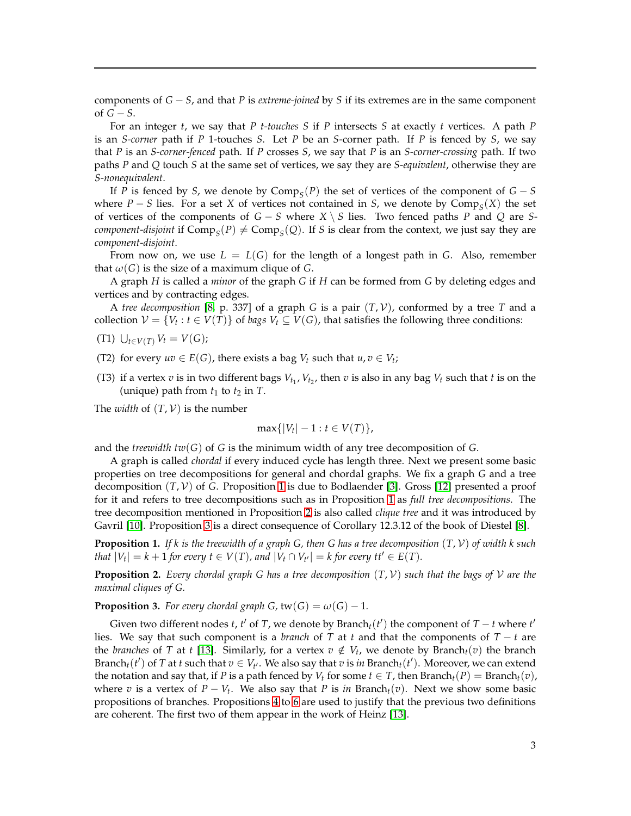components of *G* − *S*, and that *P* is *extreme-joined* by *S* if its extremes are in the same component of *G* − *S*.

For an integer *t*, we say that *P t-touches S* if *P* intersects *S* at exactly *t* vertices. A path *P* is an *S-corner* path if *P* 1-touches *S*. Let *P* be an *S*-corner path. If *P* is fenced by *S*, we say that *P* is an *S-corner-fenced* path. If *P* crosses *S*, we say that *P* is an *S-corner-crossing* path. If two paths *P* and *Q* touch *S* at the same set of vertices, we say they are *S-equivalent*, otherwise they are *S-nonequivalent*.

If *P* is fenced by *S*, we denote by Comp<sub>*S*</sub>(*P*) the set of vertices of the component of  $G - S$ where  $P - S$  lies. For a set *X* of vertices not contained in *S*, we denote by  $Comp_S(X)$  the set of vertices of the components of *G* − *S* where *X* \ *S* lies. Two fenced paths *P* and *Q* are *Scomponent-disjoint* if  $\text{Comp}_S(P) \neq \text{Comp}_S(Q)$ . If *S* is clear from the context, we just say they are *component-disjoint*.

From now on, we use  $L = L(G)$  for the length of a longest path in G. Also, remember that  $\omega(G)$  is the size of a maximum clique of *G*.

A graph *H* is called a *minor* of the graph *G* if *H* can be formed from *G* by deleting edges and vertices and by contracting edges.

A *tree decomposition* [\[8,](#page-18-11) p. 337] of a graph *G* is a pair (*T*, V), conformed by a tree *T* and a collection  $V = \{V_t : t \in V(T)\}$  of *bags*  $V_t \subseteq V(G)$ , that satisfies the following three conditions:

- (T1)  $\bigcup_{t \in V(T)} V_t = V(G);$
- (T2) for every  $uv \in E(G)$ , there exists a bag  $V_t$  such that  $u, v \in V_t$ ;
- (T3) if a vertex  $v$  is in two different bags  $V_{t_1}$ ,  $V_{t_2}$ , then  $v$  is also in any bag  $V_t$  such that  $t$  is on the (unique) path from  $t_1$  to  $t_2$  in  $T$ .

The *width* of  $(T, V)$  is the number

$$
\max\{|V_t|-1: t\in V(T)\},\
$$

and the *treewidth tw*( $G$ ) of  $G$  is the minimum width of any tree decomposition of  $G$ .

A graph is called *chordal* if every induced cycle has length three. Next we present some basic properties on tree decompositions for general and chordal graphs. We fix a graph *G* and a tree decomposition (*T*, V) of *G*. Proposition [1](#page-2-0) is due to Bodlaender [\[3\]](#page-17-3). Gross [\[12\]](#page-18-12) presented a proof for it and refers to tree decompositions such as in Proposition [1](#page-2-0) as *full tree decompositions*. The tree decomposition mentioned in Proposition [2](#page-2-1) is also called *clique tree* and it was introduced by Gavril [\[10\]](#page-18-13). Proposition [3](#page-2-2) is a direct consequence of Corollary 12.3.12 of the book of Diestel [\[8\]](#page-18-11).

<span id="page-2-0"></span>**Proposition 1.** *If k is the treewidth of a graph G, then G has a tree decomposition* (*T*, V) *of width k such that*  $|V_t| = k + 1$  *for every*  $t \in V(T)$ *, and*  $|V_t \cap V_{t'}| = k$  *for every*  $tt' \in E(T)$ *.* 

<span id="page-2-1"></span>**Proposition 2.** *Every chordal graph G has a tree decomposition*  $(T, V)$  *such that the bags of*  $V$  *are the maximal cliques of G.*

<span id="page-2-2"></span>**Proposition 3.** *For every chordal graph G,*  $tw(G) = \omega(G) - 1$ *.* 

Given two different nodes *t*, *t'* of *T*, we denote by Branch<sub>*t*</sub>(*t'*) the component of *T* − *t* where *t'* lies. We say that such component is a *branch* of *T* at *t* and that the components of  $T - t$  are the *branches* of *T* at *t* [\[13\]](#page-18-14). Similarly, for a vertex  $v \notin V_t$ , we denote by Branch<sub>*t*</sub>(*v*) the branch Branch<sub>*t*</sub>(*t'*) of *T* at *t* such that  $v \in V_{t'}$ . We also say that *v* is *in* Branch<sub>*t*</sub>(*t'*). Moreover, we can extend the notation and say that, if *P* is a path fenced by  $V_t$  for some  $t \in T$ , then Branch<sub>t</sub>(*P*) = Branch<sub>t</sub>(*v*), where *v* is a vertex of  $P - V_t$ . We also say that *P* is *in* Branch<sub>t</sub>(*v*). Next we show some basic propositions of branches. Propositions [4](#page-3-1) to [6](#page-3-2) are used to justify that the previous two definitions are coherent. The first two of them appear in the work of Heinz [\[13\]](#page-18-14).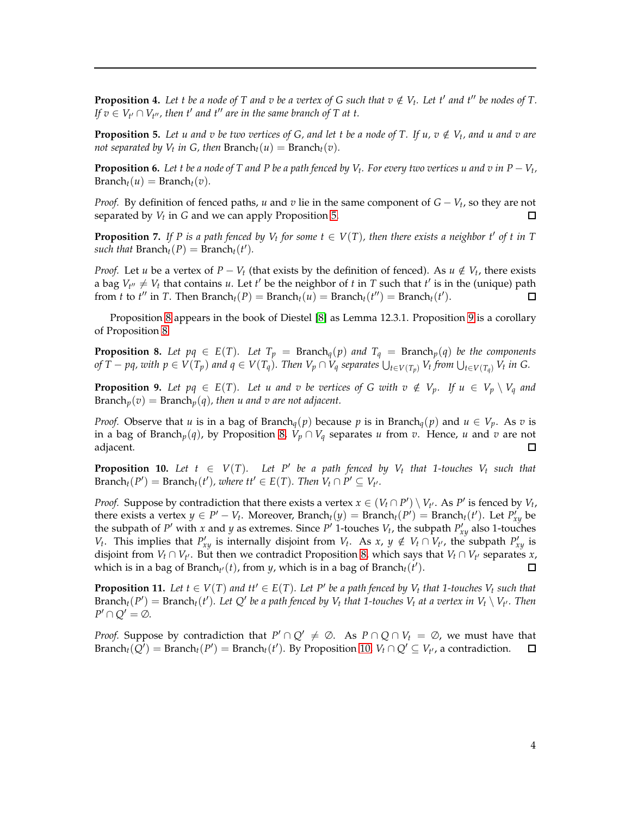<span id="page-3-1"></span>**Proposition 4.** Let t be a node of T and v be a vertex of G such that  $v \notin V_t$ . Let t' and t'' be nodes of T. *If*  $v \in V_{t'} \cap V_{t''}$ , then t' and t'' are in the same branch of T at t.

<span id="page-3-3"></span>**Proposition 5.** Let u and v be two vertices of G, and let t be a node of T. If  $u, v \notin V_t$ , and u and v are *not separated by*  $V_t$  *in G, then*  $Branch_t(u) = Branch_t(v)$ *.* 

<span id="page-3-2"></span>**Proposition 6.** *Let t be a node of T and P be a path fenced by Vt . For every two vertices u and v in P* − *V<sup>t</sup> ,*  $\text{Branch}_t(u) = \text{Branch}_t(v)$ .

*Proof.* By definition of fenced paths, *u* and *v* lie in the same component of *G* − *V*<sup>*t*</sup>, so they are not separated by *V<sup>t</sup>* in *G* and we can apply Proposition [5.](#page-3-3)  $\Box$ 

<span id="page-3-7"></span>**Proposition 7.** If P is a path fenced by  $V_t$  for some  $t \in V(T)$ , then there exists a neighbor  $t'$  of  $t$  in  $T$ *such that*  $Branch_t(P) = Branch_t(t').$ 

*Proof.* Let *u* be a vertex of *P* − *V*<sup>*t*</sup> (that exists by the definition of fenced). As *u* ∉ *V*<sup>*t*</sup>, there exists a bag  $V_{t''} \neq V_t$  that contains *u*. Let *t'* be the neighbor of *t* in *T* such that *t'* is in the (unique) path from *t* to *t*<sup>*''*</sup> in *T*. Then Branch<sub>*t*</sub>(*P*) = Branch<sub>*t*</sub>(*u*) = Branch<sub>*t*</sub>(*t''*) = Branch<sub>*t*</sub>(*t'*).  $\Box$ 

Proposition [8](#page-3-4) appears in the book of Diestel [\[8\]](#page-18-11) as Lemma 12.3.1. Proposition [9](#page-3-5) is a corollary of Proposition [8.](#page-3-4)

<span id="page-3-4"></span>**Proposition 8.** *Let pq*  $\in E(T)$ *. Let*  $T_p$  = Branch<sub>*q*</sub>(*p*) *and*  $T_q$  = Branch<sub>*p*</sub>(*q*) *be the components* of  $\overline{T} - pq$ , with  $p \in V(T_p)$  and  $q \in V(T_q)$ . Then  $V_p \cap V_q$  separates  $\bigcup_{t \in V(T_p)} V_t$  from  $\bigcup_{t \in V(T_q)} V_t$  in G.

<span id="page-3-5"></span>**Proposition 9.** Let  $pq \in E(T)$ . Let u and v be vertices of G with  $v \notin V_p$ . If  $u \in V_p \setminus V_q$  and Branch<sub>p</sub> $(v) =$ Branch<sub>p</sub> $(q)$ *, then u and v are not adjacent.* 

*Proof.* Observe that *u* is in a bag of Branch<sub>*q*</sub>(*p*) because *p* is in Branch<sub>*q*</sub>(*p*) and  $u \in V_p$ . As *v* is in a bag of Branch<sub>*p*</sub>(*q*), by Proposition [8,](#page-3-4)  $V_p \cap V_q$  separates *u* from *v*. Hence, *u* and *v* are not adiacent. adjacent.

<span id="page-3-6"></span>**Proposition 10.** Let  $t \in V(T)$ . Let P' be a path fenced by  $V_t$  that 1-touches  $V_t$  such that  $\text{Branch}_t(P') = \text{Branch}_t(t')$ , where  $tt' \in E(T)$ . Then  $V_t \cap P' \subseteq V_{t'}$ .

*Proof.* Suppose by contradiction that there exists a vertex  $x \in (V_t \cap P') \setminus V_{t'}$ . As *P*<sup>*'*</sup> is fenced by  $V_t$ , there exists a vertex  $y \in P' - V_t$ . Moreover, Branch<sub>t</sub>( $y$ ) = Branch<sub>t</sub>( $P'$ ) = Branch<sub>t</sub>( $t'$ ). Let  $P'_{xy}$  be the subpath of *P* ′ with *x* and *y* as extremes. Since *P* ′ 1-touches *V<sup>t</sup>* , the subpath *P* ′ *xy* also 1-touches *V*<sub>t</sub>. This implies that  $P'_{xy}$  is internally disjoint from *V*<sub>t</sub>. As *x*, *y* ∉ *V*<sub>t</sub> ∩ *V*<sub>t</sub><sup>*i*</sup>, the subpath  $P'_{xy}$  is disjoint from *V*<sup>*t*</sup> ∩ *V*<sup>*t*</sup><sup>*l*</sup>. But then we contradict Proposition [8,](#page-3-4) which says that *V*<sup>*t*</sup> ∩ *V*<sup>*t*</sup> separates *x*, which is in a bag of Branch<sub>t</sub> $\cdot$ (*t*), from *y*, which is in a bag of Branch<sub>t</sub>(*t*').  $\Box$ 

<span id="page-3-8"></span>**Proposition 11.** Let  $t \in V(T)$  and  $tt' \in E(T)$ . Let P' be a path fenced by  $V_t$  that 1-touches  $V_t$  such that  $\text{Branch}_t(P') = \text{Branch}_t(t')$ . Let  $Q'$  be a path fenced by  $V_t$  that 1-touches  $V_t$  at a vertex in  $V_t \setminus V_{t'}$ . Then  $P' \cap Q' = \emptyset$ .

<span id="page-3-0"></span>*Proof.* Suppose by contradiction that  $P' \cap Q' \neq \emptyset$ . As  $P \cap Q \cap V_t = \emptyset$ , we must have that Branch<sub>*t*</sub>( $Q'$ ) = Branch<sub>*t*</sub>( $P'$ ) = Branch<sub>*t*</sub>( $t'$ ). By Proposition [10,](#page-3-6)  $V_t \cap Q' \subseteq V_{t'}$ , a contradiction.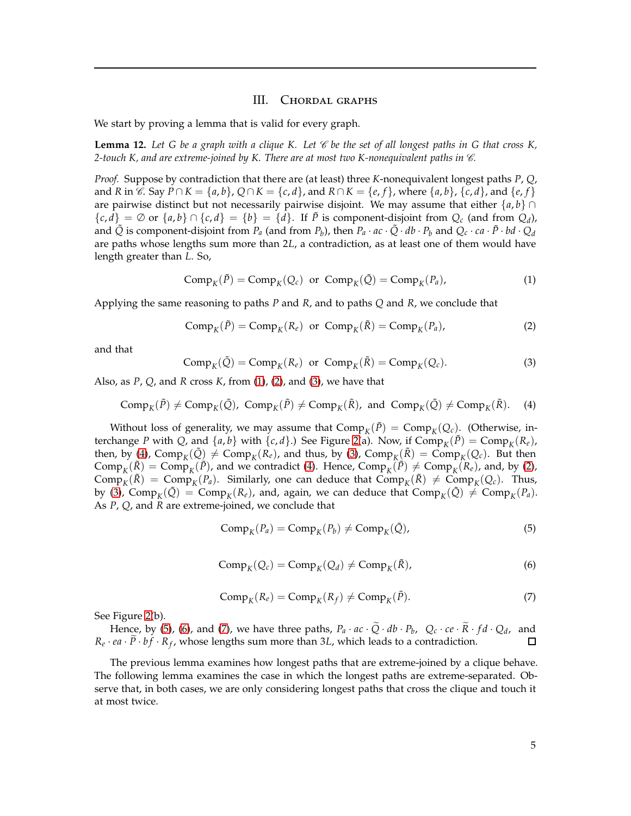## III. Chordal graphs

We start by proving a lemma that is valid for every graph.

<span id="page-4-7"></span>**Lemma 12.** Let G be a graph with a clique K. Let  $\mathscr C$  be the set of all longest paths in G that cross K, 2-touch K, and are extreme-joined by K. There are at most two K-nonequivalent paths in  $\mathscr{C}$ .

*Proof.* Suppose by contradiction that there are (at least) three *K*-nonequivalent longest paths *P*, *Q*, and R in C. Say  $P \cap K = \{a, b\}$ ,  $Q \cap K = \{c, d\}$ , and  $R \cap K = \{e, f\}$ , where  $\{a, b\}$ ,  $\{c, d\}$ , and  $\{e, f\}$ are pairwise distinct but not necessarily pairwise disjoint. We may assume that either  $\{a, b\} \cap$  ${c,d}_{z} = \emptyset$  or  ${a,b} \cap {c,d}_{z} = {b}_{z} = {d}$ . If  $\tilde{P}$  is component-disjoint from  $Q_c$  (and from  $Q_d$ ), and  $\tilde{Q}$  is component-disjoint from  $P_a$  (and from  $P_b$ ), then  $P_a \cdot ac \cdot \tilde{Q} \cdot db \cdot P_b$  and  $Q_c \cdot ca \cdot \tilde{P} \cdot bd \cdot Q_d$ are paths whose lengths sum more than 2*L*, a contradiction, as at least one of them would have length greater than *L*. So,

<span id="page-4-0"></span>
$$
Comp_K(\tilde{P}) = Comp_K(Q_c) \text{ or } Comp_K(\tilde{Q}) = Comp_K(P_a), \qquad (1)
$$

Applying the same reasoning to paths *P* and *R*, and to paths *Q* and *R*, we conclude that

<span id="page-4-1"></span>
$$
Comp_K(\tilde{P}) = Comp_K(R_e) \text{ or } Comp_K(\tilde{R}) = Comp_K(P_a), \qquad (2)
$$

<span id="page-4-2"></span>and that

<span id="page-4-3"></span>
$$
Comp_K(\tilde{Q}) = Comp_K(R_e) \text{ or } Comp_K(\tilde{R}) = Comp_K(Q_c). \tag{3}
$$

Also, as *P*, *Q*, and *R* cross *K*, from [\(1\)](#page-4-0), [\(2\)](#page-4-1), and [\(3\)](#page-4-2), we have that

$$
Comp_K(\tilde{P}) \neq Comp_K(\tilde{Q}), Comp_K(\tilde{P}) \neq Comp_K(\tilde{R}), \text{ and } Comp_K(\tilde{Q}) \neq Comp_K(\tilde{R}).
$$
 (4)

Without loss of generality, we may assume that  $Comp_K(\tilde{P}) = Comp_K(Q_c)$ . (Otherwise, interchange *P* with *Q*, and  $\{a, b\}$  with  $\{c, d\}$ .) See Figure [2\(](#page-5-0)a). Now, if  $Comp_K(\tilde{P}) = Comp_K(R_e)$ , then, by [\(4\)](#page-4-3), Comp<sub>*K*</sub>( $\tilde{Q}$ )  $\neq$  Comp<sub>*K*</sub>( $R_e$ ), and thus, by [\(3\)](#page-4-2), Comp<sub>*K*</sub>( $\tilde{R}$ ) = Comp<sub>*K*</sub>( $Q_c$ ). But then  $\text{Comp}_K(\tilde{R}) = \text{Comp}_K(\tilde{P})$ , and we contradict [\(4\)](#page-4-3). Hence,  $\text{Comp}_K(\tilde{P}) \neq \text{Comp}_K(R_e)$ , and, by [\(2\)](#page-4-1),  $\text{Comp}_K(\tilde{R}) = \text{Comp}_K(P_a)$ . Similarly, one can deduce that  $\text{Comp}_K(\tilde{R}) \neq \text{Comp}_K(Q_c)$ . Thus, by [\(3\)](#page-4-2),  $\text{Comp}_K(\tilde{Q}) = \text{Comp}_K(R_e)$ , and, again, we can deduce that  $\text{Comp}_K(\tilde{Q}) \neq \text{Comp}_K(P_a)$ . As *P*, *Q*, and *R* are extreme-joined, we conclude that

<span id="page-4-4"></span>
$$
CompK(Pa) = CompK(Pb) \ne CompK(\tilde{Q}),
$$
\n(5)

$$
Comp_K(Q_c) = Comp_K(Q_d) \neq Comp_K(\tilde{R}),
$$
\n(6)

$$
Comp_K(R_e) = Comp_K(R_f) \neq Comp_K(\tilde{P}).
$$
\n(7)

<span id="page-4-6"></span><span id="page-4-5"></span>See Figure [2\(](#page-5-0)b).

Hence, by [\(5\)](#page-4-4), [\(6\)](#page-4-5), and [\(7\)](#page-4-6), we have three paths,  $P_a \cdot ac \cdot Q \cdot db \cdot P_b$ ,  $Q_c \cdot ce \cdot R \cdot fd \cdot Q_d$ , and  $R_e \cdot ea \cdot P \cdot bf \cdot R_f$ , whose lengths sum more than 3*L*, which leads to a contradiction. П

The previous lemma examines how longest paths that are extreme-joined by a clique behave. The following lemma examines the case in which the longest paths are extreme-separated. Observe that, in both cases, we are only considering longest paths that cross the clique and touch it at most twice.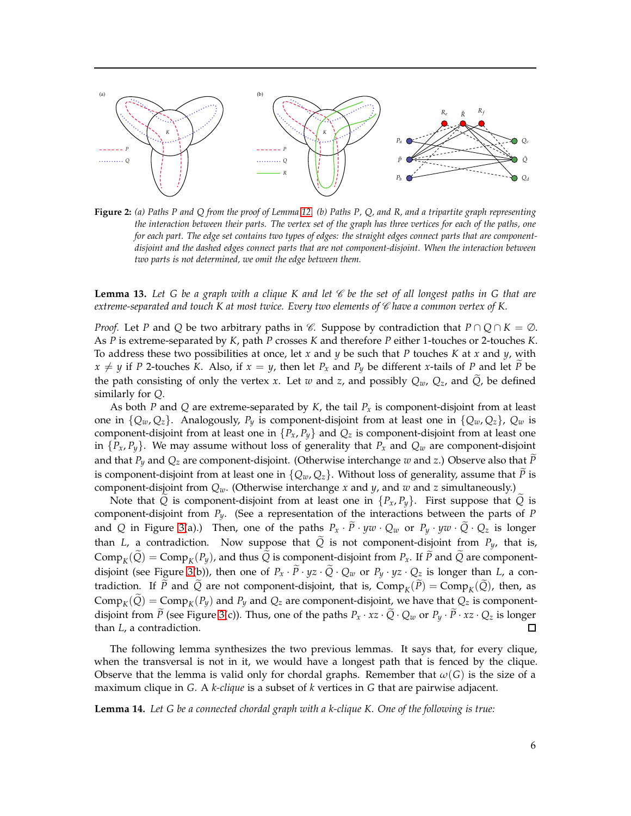<span id="page-5-0"></span>

**Figure 2:** *(a) Paths P and Q from the proof of Lemma [12.](#page-4-7) (b) Paths P, Q, and R, and a tripartite graph representing the interaction between their parts. The vertex set of the graph has three vertices for each of the paths, one for each part. The edge set contains two types of edges: the straight edges connect parts that are componentdisjoint and the dashed edges connect parts that are not component-disjoint. When the interaction between two parts is not determined, we omit the edge between them.*

<span id="page-5-1"></span>**Lemma 13.** Let G be a graph with a clique K and let  $\mathscr{C}$  be the set of all longest paths in G that are *extreme-separated and touch K at most twice. Every two elements of* C *have a common vertex of K.*

*Proof.* Let *P* and *Q* be two arbitrary paths in  $\mathscr{C}$ . Suppose by contradiction that  $P \cap Q \cap K = \emptyset$ . As *P* is extreme-separated by *K*, path *P* crosses *K* and therefore *P* either 1-touches or 2-touches *K*. To address these two possibilities at once, let *x* and *y* be such that *P* touches *K* at *x* and *y*, with  $x \neq y$  if *P* 2-touches *K*. Also, if  $x = y$ , then let  $P_x$  and  $P_y$  be different *x*-tails of *P* and let  $\tilde{P}$  be the path consisting of only the vertex *x*. Let *w* and *z*, and possibly  $Q_w$ ,  $Q_z$ , and  $\tilde{Q}$ , be defined similarly for *Q*.

As both *P* and *Q* are extreme-separated by *K*, the tail *P<sup>x</sup>* is component-disjoint from at least one in  $\{Q_w, Q_z\}$ . Analogously,  $P_v$  is component-disjoint from at least one in  $\{Q_w, Q_z\}$ ,  $Q_w$  is component-disjoint from at least one in  $\{P_x, P_y\}$  and  $Q_z$  is component-disjoint from at least one in  $\{P_x, P_y\}$ . We may assume without loss of generality that  $P_x$  and  $Q_w$  are component-disjoint and that  $P_y$  and  $Q_z$  are component-disjoint. (Otherwise interchange *w* and *z*.) Observe also that  $\tilde{P}$ is component-disjoint from at least one in  $\{Q_w, Q_z\}$ . Without loss of generality, assume that  $\tilde{P}$  is component-disjoint from *Qw*. (Otherwise interchange *x* and *y*, and *w* and *z* simultaneously.)

Note that *Q* is component-disjoint from at least one in  $\{P_x, P_y\}$ . First suppose that *Q* is component-disjoint from *Py*. (See a representation of the interactions between the parts of *P* and *Q* in Figure [3\(](#page-6-0)a).) Then, one of the paths  $P_x \cdot \tilde{P} \cdot yw \cdot Q_w$  or  $P_y \cdot yw \cdot \tilde{Q} \cdot Q_z$  is longer than *L*, a contradiction. Now suppose that  $\tilde{Q}$  is not component-disjoint from  $P_y$ , that is,  $Comp<sub>K</sub>(Q) = Comp<sub>K</sub>(P<sub>y</sub>)$ , and thus *Q* is component-disjoint from *P*<sub>*x*</sub>. If *P* and *Q* are component-disjoint (see Figure [3\(](#page-6-0)b)), then one of  $P_x \cdot \tilde{P} \cdot yz \cdot \tilde{Q} \cdot Q_w$  or  $P_y \cdot yz \cdot Q_z$  is longer than *L*, a contradiction. If *P* and *Q* are not component-disjoint, that is,  $Comp_K(P) = Comp_K(Q)$ , then, as  $Comp<sub>K</sub>(Q) = Comp<sub>K</sub>(P<sub>y</sub>)$  and  $P<sub>y</sub>$  and  $Q<sub>z</sub>$  are component-disjoint, we have that  $Q<sub>z</sub>$  is componentdisjoint from  $\tilde{P}$  (see Figure [3\(](#page-6-0)c)). Thus, one of the paths  $P_x \cdot xz \cdot \tilde{Q} \cdot Q_w$  or  $P_y \cdot \tilde{P} \cdot xz \cdot Q_z$  is longer than *L*, a contradiction. than *L*, a contradiction.

The following lemma synthesizes the two previous lemmas. It says that, for every clique, when the transversal is not in it, we would have a longest path that is fenced by the clique. Observe that the lemma is valid only for chordal graphs. Remember that  $\omega(G)$  is the size of a maximum clique in *G*. A *k-clique* is a subset of *k* vertices in *G* that are pairwise adjacent.

<span id="page-5-2"></span>**Lemma 14.** *Let G be a connected chordal graph with a k-clique K. One of the following is true:*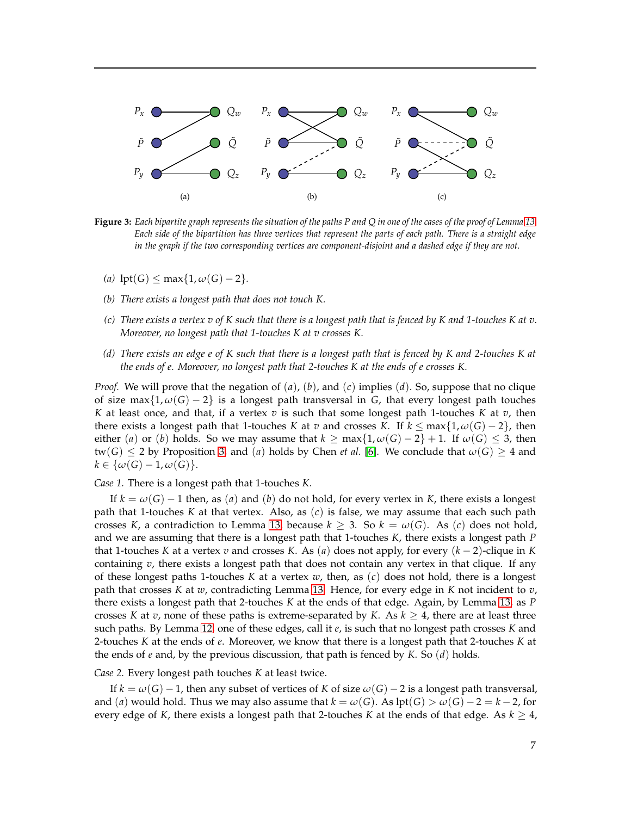<span id="page-6-0"></span>

**Figure 3:** *Each bipartite graph represents the situation of the paths P and Q in one of the cases of the proof of Lemma [13.](#page-5-1) Each side of the bipartition has three vertices that represent the parts of each path. There is a straight edge in the graph if the two corresponding vertices are component-disjoint and a dashed edge if they are not.*

- *(a)*  $\text{lpt}(G)$  ≤ max{1,  $ω(G) 2$ }.
- *(b) There exists a longest path that does not touch K.*
- *(c) There exists a vertex v of K such that there is a longest path that is fenced by K and 1-touches K at v. Moreover, no longest path that 1-touches K at v crosses K.*
- *(d) There exists an edge e of K such that there is a longest path that is fenced by K and 2-touches K at the ends of e. Moreover, no longest path that 2-touches K at the ends of e crosses K.*

*Proof.* We will prove that the negation of (*a*), (*b*), and (*c*) implies (*d*). So, suppose that no clique of size max{1, *<sup>ω</sup>*(*G*) <sup>−</sup> <sup>2</sup>} is a longest path transversal in *<sup>G</sup>*, that every longest path touches *K* at least once, and that, if a vertex *v* is such that some longest path 1-touches *K* at *v*, then there exists a longest path that 1-touches *K* at *v* and crosses *K*. If  $k \leq max\{1, \omega(G) - 2\}$ , then either (*a*) or (*b*) holds. So we may assume that  $k \ge \max\{1, \omega(G) - 2\} + 1$ . If  $\omega(G) \le 3$ , then  $tw(G) \leq 2$  by Proposition [3,](#page-2-2) and (*a*) holds by Chen *et al.* [\[6\]](#page-18-5). We conclude that  $\omega(G) \geq 4$  and  $k \in {\omega(G) - 1, \omega(G)}.$ 

*Case 1.* There is a longest path that 1-touches *K*.

If  $k = \omega(G) - 1$  then, as (*a*) and (*b*) do not hold, for every vertex in *K*, there exists a longest path that 1-touches *K* at that vertex. Also, as (*c*) is false, we may assume that each such path crosses *K*, a contradiction to Lemma [13,](#page-5-1) because  $k \geq 3$ . So  $k = \omega(G)$ . As (*c*) does not hold, and we are assuming that there is a longest path that 1-touches *K*, there exists a longest path *P* that 1-touches *K* at a vertex *v* and crosses *K*. As (*a*) does not apply, for every  $(k-2)$ -clique in *K* containing *v*, there exists a longest path that does not contain any vertex in that clique. If any of these longest paths 1-touches *K* at a vertex *w*, then, as (*c*) does not hold, there is a longest path that crosses *K* at *w*, contradicting Lemma [13.](#page-5-1) Hence, for every edge in *K* not incident to *v*, there exists a longest path that 2-touches *K* at the ends of that edge. Again, by Lemma [13,](#page-5-1) as *P* crosses *K* at *v*, none of these paths is extreme-separated by *K*. As  $k \geq 4$ , there are at least three such paths. By Lemma [12,](#page-4-7) one of these edges, call it *e*, is such that no longest path crosses *K* and 2-touches *K* at the ends of *e*. Moreover, we know that there is a longest path that 2-touches *K* at the ends of *e* and, by the previous discussion, that path is fenced by *K*. So (*d*) holds.

*Case 2.* Every longest path touches *K* at least twice.

If  $k = \omega(G) - 1$ , then any subset of vertices of *K* of size  $\omega(G) - 2$  is a longest path transversal, and (*a*) would hold. Thus we may also assume that  $k = \omega(G)$ . As lpt(*G*) >  $\omega(G) - 2 = k - 2$ , for every edge of *K*, there exists a longest path that 2-touches *K* at the ends of that edge. As  $k \geq 4$ ,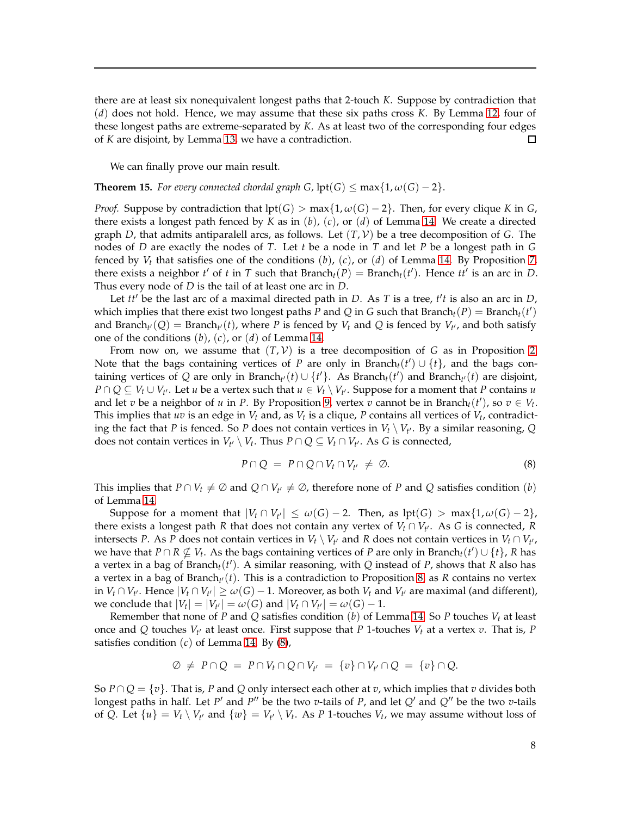there are at least six nonequivalent longest paths that 2-touch *K*. Suppose by contradiction that (*d*) does not hold. Hence, we may assume that these six paths cross *K*. By Lemma [12,](#page-4-7) four of these longest paths are extreme-separated by *K*. As at least two of the corresponding four edges of *K* are disjoint, by Lemma [13,](#page-5-1) we have a contradiction. п

We can finally prove our main result.

### **Theorem 15.** *For every connected chordal graph G,*  $\text{lpt}(G) \le \max\{1, \omega(G) - 2\}$ .

*Proof.* Suppose by contradiction that  $\text{lpt}(G) > \max\{1, \omega(G) - 2\}$ . Then, for every clique *K* in *G*, there exists a longest path fenced by *K* as in (*b*), (*c*), or (*d*) of Lemma [14.](#page-5-2) We create a directed graph *D*, that admits antiparalell arcs, as follows. Let  $(T, V)$  be a tree decomposition of *G*. The nodes of *D* are exactly the nodes of *T*. Let *t* be a node in *T* and let *P* be a longest path in *G* fenced by  $V_t$  that satisfies one of the conditions  $(b)$ ,  $(c)$ , or  $(d)$  of Lemma [14.](#page-5-2) By Proposition [7,](#page-3-7) there exists a neighbor  $t'$  of  $t$  in  $T$  such that Branch $_t(P) =$  Branch $_t(t')$ . Hence  $tt'$  is an arc in  $D$ . Thus every node of *D* is the tail of at least one arc in *D*.

Let *tt*′ be the last arc of a maximal directed path in *D*. As *T* is a tree, *t* ′ *t* is also an arc in *D*, which implies that there exist two longest paths *P* and *Q* in *G* such that Branch<sub>t</sub>(*P*) = Branch<sub>t</sub>(*t'*) and Branch<sub>t</sub><sup>*i*</sup> (*Q*) = Branch<sub>t</sub><sup>*i*</sup>(*t*), where *P* is fenced by *V*<sub>*t*</sub> and *Q* is fenced by *V*<sub>t</sub><sup>*i*</sup>, and both satisfy one of the conditions (*b*), (*c*), or (*d*) of Lemma [14.](#page-5-2)

From now on, we assume that  $(T, V)$  is a tree decomposition of *G* as in Proposition [2.](#page-2-1) Note that the bags containing vertices of *P* are only in Branch<sub>t</sub>( $t'$ )  $\cup$  {*t*}, and the bags containing vertices of *Q* are only in Branch<sub>t</sub><sup>*i*</sup>(*t*)  $\cup$  {*t*<sup> $\prime$ </sup>}. As Branch<sub>*t*</sub>(*t*) and Branch<sub>t</sub><sup>*i*</sup>(*t*) are disjoint, *P* ∩ *Q* ⊆ *V*<sub>*t*</sub> ∪ *V*<sub>*t'*</sub>. Let *u* be a vertex such that *u* ∈ *V*<sub>*t*</sub>  $\setminus$  *V*<sub>*t'*</sub>. Suppose for a moment that *P* contains *u* and let *v* be a neighbor of *u* in *P*. By Proposition [9,](#page-3-5) vertex *v* cannot be in Branch<sub>*t*</sub>(*t'*), so  $v \in V_t$ . This implies that *uv* is an edge in  $V_t$  and, as  $V_t$  is a clique, P contains all vertices of  $V_t$ , contradicting the fact that *P* is fenced. So *P* does not contain vertices in  $V_t \setminus V_{t'}$ . By a similar reasoning, Q does not contain vertices in  $V_{t'} \setminus V_t$ . Thus  $P \cap Q \subseteq V_t \cap V_{t'}$ . As *G* is connected,

<span id="page-7-0"></span>
$$
P \cap Q = P \cap Q \cap V_t \cap V_{t'} \neq \emptyset. \tag{8}
$$

This implies that  $P \cap V_t \neq \emptyset$  and  $Q \cap V_{t'} \neq \emptyset$ , therefore none of *P* and *Q* satisfies condition (*b*) of Lemma [14.](#page-5-2)

Suppose for a moment that  $|V_t \cap V_{t'}| \leq \omega(G) - 2$ . Then, as  $lpt(G) > max\{1, \omega(G) - 2\}$ , there exists a longest path *R* that does not contain any vertex of  $V_t \cap V_{t'}$ . As *G* is connected, *R* intersects *P*. As *P* does not contain vertices in  $V_t \setminus V_{t'}$  and *R* does not contain vertices in  $V_t \cap V_{t'}$ , we have that  $P \cap R \nsubseteq V_t$ . As the bags containing vertices of *P* are only in Branch<sub>*t*</sub>(*t'*)  $\cup$  {*t*}, *R* has a vertex in a bag of Branch*t*(*t* ′ ). A similar reasoning, with *Q* instead of *P*, shows that *R* also has a vertex in a bag of Branch*<sup>t</sup>* ′(*t*). This is a contradiction to Proposition [8,](#page-3-4) as *R* contains no vertex in  $V_t \cap V_{t'}$ . Hence  $|V_t \cap V_{t'}| \ge \omega(G) - 1$ . Moreover, as both  $V_t$  and  $V_{t'}$  are maximal (and different),  $w$ **e** conclude that  $|V_t| = |V_{t'}| = \omega(G)$  and  $|V_t \cap V_{t'}| = \omega(G) - 1$ .

Remember that none of *P* and *Q* satisfies condition (*b*) of Lemma [14.](#page-5-2) So *P* touches *V<sup>t</sup>* at least once and  $Q$  touches  $V_{t'}$  at least once. First suppose that  $P$  1-touches  $V_t$  at a vertex  $v$ . That is,  $P$ satisfies condition (*c*) of Lemma [14.](#page-5-2) By [\(8\)](#page-7-0),

$$
\varnothing \neq P \cap Q = P \cap V_t \cap Q \cap V_{t'} = \{v\} \cap V_{t'} \cap Q = \{v\} \cap Q.
$$

So  $P \cap Q = \{v\}$ . That is, P and Q only intersect each other at *v*, which implies that *v* divides both longest paths in half. Let *P'* and *P''* be the two *v*-tails of *P*, and let *Q'* and *Q''* be the two *v*-tails of *Q*. Let  $\{u\} = V_t \setminus V_{t'}$  and  $\{w\} = V_{t'} \setminus V_t$ . As *P* 1-touches  $V_t$ , we may assume without loss of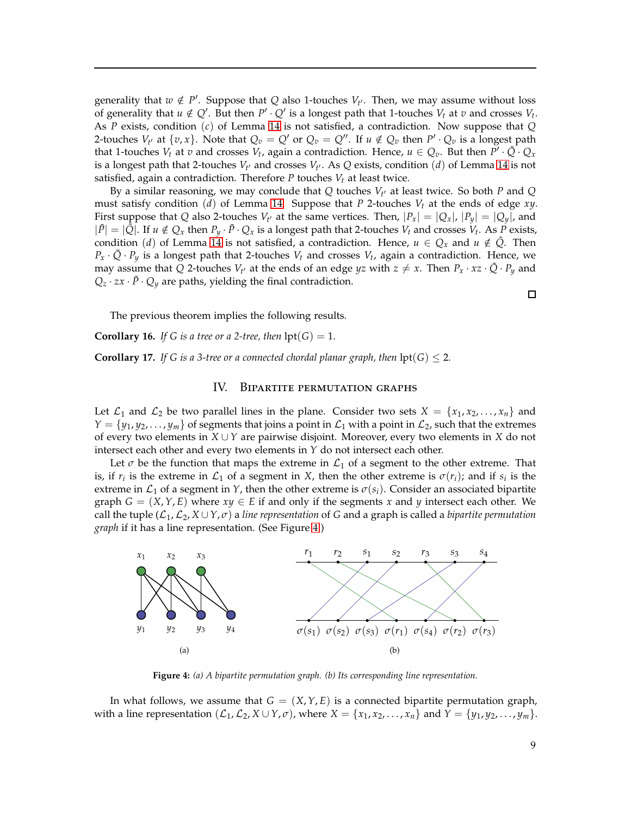generality that  $w \notin P'$ . Suppose that *Q* also 1-touches  $V_{t'}$ . Then, we may assume without loss of generality that  $u \notin Q'$ . But then  $P' \cdot Q'$  is a longest path that 1-touches  $V_t$  at  $v$  and crosses  $V_t$ . As *P* exists, condition (*c*) of Lemma [14](#page-5-2) is not satisfied, a contradiction. Now suppose that *Q* 2-touches  $V_t$  at  $\{v, x\}$ . Note that  $Q_v = Q'$  or  $Q_v = Q''$ . If  $u \notin Q_v$  then  $P' \cdot Q_v$  is a longest path that 1-touches  $V_t$  at  $v$  and crosses  $V_t$ , again a contradiction. Hence,  $u \in Q_v$ . But then  $P' \cdot \tilde{Q} \cdot Q_x$ is a longest path that 2-touches  $V_{t'}$  and crosses  $V_{t'}$ . As  $Q$  exists, condition  $(d)$  of Lemma [14](#page-5-2) is not satisfied, again a contradiction. Therefore *P* touches *V<sup>t</sup>* at least twice.

By a similar reasoning, we may conclude that *Q* touches *V<sup>t</sup>* ′ at least twice. So both *P* and *Q* must satisfy condition (*d*) of Lemma [14.](#page-5-2) Suppose that *P* 2-touches *V<sup>t</sup>* at the ends of edge *xy*. First suppose that *Q* also 2-touches  $V_t$  at the same vertices. Then,  $|P_x| = |Q_x|$ ,  $|P_y| = |Q_y|$ , and  $|\tilde{P}| = |\tilde{Q}|$ . If  $u \notin Q_x$  then  $P_y \cdot \tilde{P} \cdot Q_x$  is a longest path that 2-touches  $V_t$  and crosses  $V_t$ . As  $\tilde{P}$  exists, condition (*d*) of Lemma [14](#page-5-2) is not satisfied, a contradiction. Hence,  $u \in Q_x$  and  $u \notin \tilde{Q}$ . Then  $P_x \cdot \tilde{Q} \cdot P_y$  is a longest path that 2-touches  $V_t$  and crosses  $V_t$ , again a contradiction. Hence, we may assume that *Q* 2-touches  $V_{t'}$  at the ends of an edge *yz* with  $z \neq x$ . Then  $P_x \cdot xz \cdot \tilde{Q} \cdot P_y$  and  $Q_z \cdot zx \cdot \tilde{P} \cdot Q_y$  are paths, yielding the final contradiction.

The previous theorem implies the following results.

**Corollary 16.** *If G is a tree or a 2-tree, then*  $\text{lpt}(G) = 1$ *.* 

<span id="page-8-0"></span>**Corollary 17.** *If G is a 3-tree or a connected chordal planar graph, then*  $\text{lpt}(G) \leq 2$ *.* 

#### IV. Bipartite permutation graphs

Let  $\mathcal{L}_1$  and  $\mathcal{L}_2$  be two parallel lines in the plane. Consider two sets  $X = \{x_1, x_2, ..., x_n\}$  and  $Y = \{y_1, y_2, \ldots, y_m\}$  of segments that joins a point in  $\mathcal{L}_1$  with a point in  $\mathcal{L}_2$ , such that the extremes of every two elements in *X* ∪ *Y* are pairwise disjoint. Moreover, every two elements in *X* do not intersect each other and every two elements in *Y* do not intersect each other.

Let  $\sigma$  be the function that maps the extreme in  $\mathcal{L}_1$  of a segment to the other extreme. That is, if  $r_i$  is the extreme in  $\mathcal{L}_1$  of a segment in *X*, then the other extreme is  $\sigma(r_i)$ ; and if  $s_i$  is the extreme in  $\mathcal{L}_1$  of a segment in *Y*, then the other extreme is  $\sigma(s_i)$ . Consider an associated bipartite graph  $G = (X, Y, E)$  where  $xy \in E$  if and only if the segments x and y intersect each other. We call the tuple  $(L_1, L_2, X \cup Y, \sigma)$  a *line representation* of *G* and a graph is called a *bipartite permutation graph* if it has a line representation. (See Figure [4.](#page-8-1))

<span id="page-8-1"></span>

**Figure 4:** *(a) A bipartite permutation graph. (b) Its corresponding line representation.*

In what follows, we assume that  $G = (X, Y, E)$  is a connected bipartite permutation graph, with a line representation  $(\mathcal{L}_1, \mathcal{L}_2, X \cup Y, \sigma)$ , where  $X = \{x_1, x_2, \ldots, x_n\}$  and  $Y = \{y_1, y_2, \ldots, y_m\}$ .

 $\Box$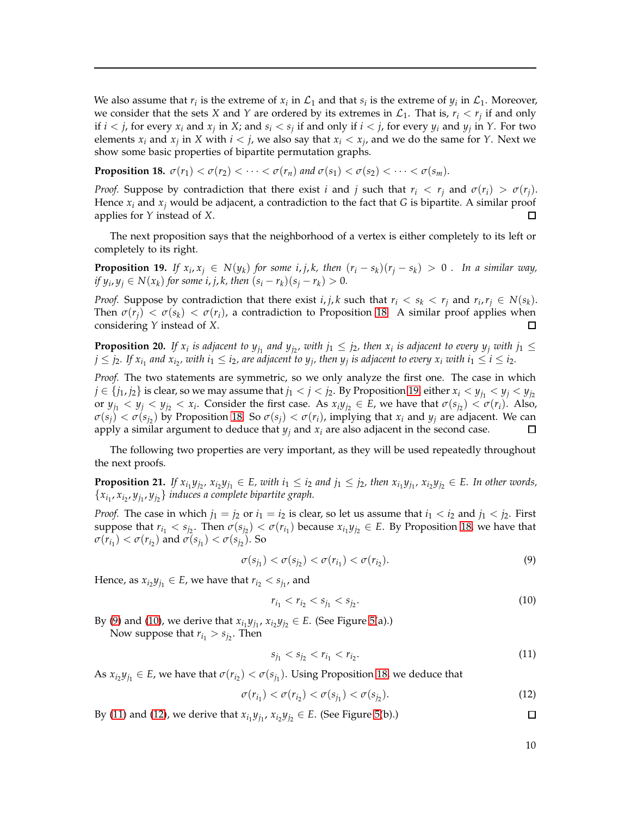We also assume that  $r_i$  is the extreme of  $x_i$  in  $\mathcal{L}_1$  and that  $s_i$  is the extreme of  $y_i$  in  $\mathcal{L}_1$ . Moreover, we consider that the sets *X* and *Y* are ordered by its extremes in  $\mathcal{L}_1$ . That is,  $r_i < r_j$  if and only if  $i < j$ , for every  $x_i$  and  $x_j$  in X; and  $s_i < s_j$  if and only if  $i < j$ , for every  $y_i$  and  $y_j$  in Y. For two elements  $x_i$  and  $x_j$  in  $X$  with  $i < j$ , we also say that  $x_i < x_j$ , and we do the same for  $Y$ . Next we show some basic properties of bipartite permutation graphs.

<span id="page-9-0"></span>**Proposition 18.**  $\sigma(r_1) < \sigma(r_2) < \cdots < \sigma(r_n)$  and  $\sigma(s_1) < \sigma(s_2) < \cdots < \sigma(s_m)$ .

*Proof.* Suppose by contradiction that there exist *i* and *j* such that  $r_i < r_i$  and  $\sigma(r_i) > \sigma(r_i)$ . Hence  $x_i$  and  $x_j$  would be adjacent, a contradiction to the fact that *G* is bipartite. A similar proof applies for *Y* instead of *X*.  $\Box$ 

The next proposition says that the neighborhood of a vertex is either completely to its left or completely to its right.

<span id="page-9-1"></span>**Proposition 19.** If  $x_i, x_j \in N(y_k)$  for some i, j, k, then  $(r_i - s_k)(r_j - s_k) > 0$ . In a similar way, *if*  $y_i, y_j \in N(x_k)$  for some *i*, *j*, *k*, then  $(s_i - r_k)(s_j - r_k) > 0$ .

*Proof.* Suppose by contradiction that there exist *i*, *j*, *k* such that  $r_i < s_k < r_j$  and  $r_i$ ,  $r_j \in N(s_k)$ . Then  $\sigma(r_j) < \sigma(s_k) < \sigma(r_i)$ , a contradiction to Proposition [18.](#page-9-0) A similar proof applies when considering *Y* instead of *X*. □

<span id="page-9-7"></span>**Proposition 20.** If  $x_i$  is adjacent to  $y_{j_1}$  and  $y_{j_2}$ , with  $j_1 \leq j_2$ , then  $x_i$  is adjacent to every  $y_j$  with  $j_1 \leq j_2$  $j\leq j_2.$  If  $x_{i_1}$  and  $x_{i_2}$ , with  $i_1\leq i_2$ , are adjacent to  $y_j$ , then  $y_j$  is adjacent to every  $x_i$  with  $i_1\leq i\leq i_2.$ 

*Proof.* The two statements are symmetric, so we only analyze the first one. The case in which  $j \in \{j_1, j_2\}$  is clear, so we may assume that  $j_1 < j < j_2$ . By Proposition [19,](#page-9-1) either  $x_i < y_{j_1} < y_j < y_{j_2}$ or  $y_{j_1} < y_j < y_{j_2} < x_i$ . Consider the first case. As  $x_iy_{j_2} \in E$ , we have that  $\sigma(s_{j_2}) < \sigma(r_i)$ . Also,  $\sigma(s_j) < \sigma(s_{j_2})$  by Proposition [18.](#page-9-0) So  $\sigma(s_j) < \sigma(r_i)$ , implying that  $x_i$  and  $y_j$  are adjacent. We can apply a similar argument to deduce that  $y_i$  and  $x_i$  are also adjacent in the second case. □

The following two properties are very important, as they will be used repeatedly throughout the next proofs.

<span id="page-9-6"></span>**Proposition 21.** If  $x_{i_1}y_{j_2}$ ,  $x_{i_2}y_{j_1} \in E$ , with  $i_1 \leq i_2$  and  $j_1 \leq j_2$ , then  $x_{i_1}y_{j_1}$ ,  $x_{i_2}y_{j_2} \in E$ . In other words,  $\{x_{i_1}, x_{i_2}, y_{j_1}, y_{j_2}\}\$  *induces a complete bipartite graph.* 

*Proof.* The case in which  $j_1 = j_2$  or  $i_1 = i_2$  is clear, so let us assume that  $i_1 < i_2$  and  $j_1 < j_2$ . First suppose that  $r_{i_1} < s_{i_2}$ . Then  $\sigma(s_{i_2}) < \sigma(r_{i_1})$  because  $x_{i_1}y_{i_2} \in E$ . By Proposition [18,](#page-9-0) we have that  $\sigma(\overline{r}_{i_1}) < \sigma(r_{i_2})$  and  $\sigma(s_{j_1}) < \sigma(s_{j_2})$ . So

<span id="page-9-2"></span>
$$
\sigma(s_{j_1}) < \sigma(s_{j_2}) < \sigma(r_{i_1}) < \sigma(r_{i_2}).\tag{9}
$$

Hence, as  $x_{i_2}y_{j_1} \in E$ , we have that  $r_{i_2} < s_{j_1}$ , and

<span id="page-9-3"></span>
$$
r_{i_1} < r_{i_2} < s_{j_1} < s_{j_2}.\tag{10}
$$

By [\(9\)](#page-9-2) and [\(10\)](#page-9-3), we derive that  $x_{i_1}y_{j_1}$ ,  $x_{i_2}y_{j_2} \in E$ . (See Figure [5\(](#page-10-0)a).) Now suppose that  $r_{i_1} > s_{i_2}$ . Then

<span id="page-9-4"></span>
$$
s_{j_1} < s_{j_2} < r_{i_1} < r_{i_2}.\tag{11}
$$

As  $x_{i_2}y_{j_1} \in E$ , we have that  $\sigma(r_{i_2}) < \sigma(s_{j_1})$ . Using Proposition [18,](#page-9-0) we deduce that

$$
\sigma(r_{i_1}) < \sigma(r_{i_2}) < \sigma(s_{j_1}) < \sigma(s_{j_2}).\tag{12}
$$

By [\(11\)](#page-9-4) and [\(12\)](#page-9-5), we derive that  $x_{i_1}y_{j_1}$ ,  $x_{i_2}y_{j_2} \in E$ . (See Figure [5\(](#page-10-0)b).)

10

<span id="page-9-5"></span> $\Box$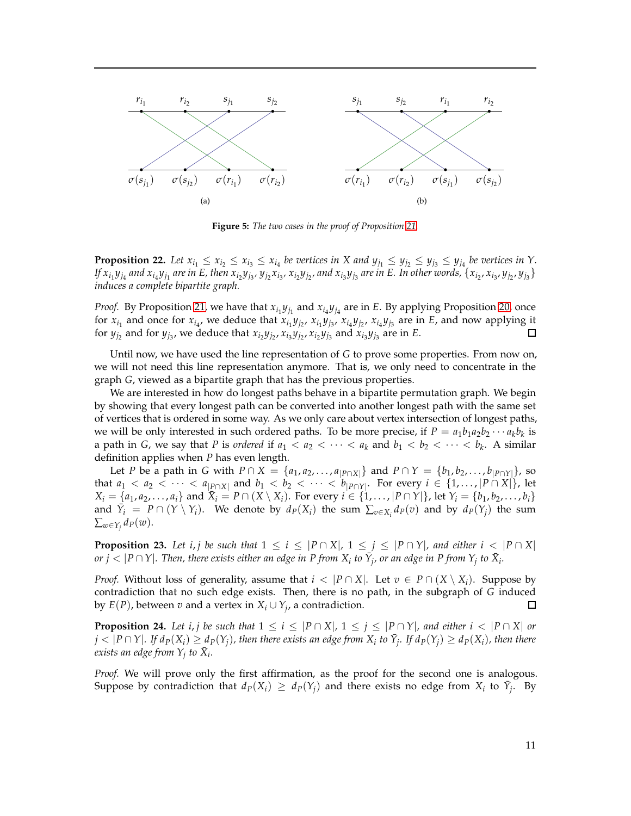<span id="page-10-0"></span>

**Figure 5:** *The two cases in the proof of Proposition [21.](#page-9-6)*

<span id="page-10-3"></span>**Proposition 22.** Let  $x_{i_1} \le x_{i_2} \le x_{i_3} \le x_{i_4}$  be vertices in X and  $y_{j_1} \le y_{j_2} \le y_{j_3} \le y_{j_4}$  be vertices in Y. If  $x_{i_1}y_{j_4}$  and  $x_{i_4}y_{j_1}$  are in E, then  $x_{i_2}y_{j_3}$ ,  $y_{j_2}x_{i_3}$ ,  $x_{i_2}y_{j_2}$ , and  $x_{i_3}y_{j_3}$  are in E. In other words,  $\{x_{i_2},x_{i_3},y_{j_2},y_{j_3}\}$ *induces a complete bipartite graph.*

*Proof.* By Proposition [21,](#page-9-6) we have that  $x_{i_1}y_{j_1}$  and  $x_{i_4}y_{j_4}$  are in *E*. By applying Proposition [20,](#page-9-7) once for  $x_{i_1}$  and once for  $x_{i_4}$ , we deduce that  $x_{i_1}y_{j_2}$ ,  $x_{i_1}y_{j_3}$ ,  $x_{i_4}y_{j_2}$ ,  $x_{i_4}y_{j_3}$  are in E, and now applying it for  $y_{j_2}$  and for  $y_{j_3}$ , we deduce that  $x_{i_2}y_{j_2}$ ,  $x_{i_3}y_{j_2}$ ,  $x_{i_2}y_{j_3}$  and  $x_{i_3}y_{j_3}$  are in E.  $\Box$ 

Until now, we have used the line representation of *G* to prove some properties. From now on, we will not need this line representation anymore. That is, we only need to concentrate in the graph *G*, viewed as a bipartite graph that has the previous properties.

We are interested in how do longest paths behave in a bipartite permutation graph. We begin by showing that every longest path can be converted into another longest path with the same set of vertices that is ordered in some way. As we only care about vertex intersection of longest paths, we will be only interested in such ordered paths. To be more precise, if  $P = a_1b_1a_2b_2 \cdots a_kb_k$  is a path in *G*, we say that *P* is *ordered* if  $a_1 < a_2 < \cdots < a_k$  and  $b_1 < b_2 < \cdots < b_k$ . A similar definition applies when *P* has even length.

Let *P* be a path in *G* with *P* ∩ *X* = { $a_1, a_2, ..., a_{|P \cap X|}$ } and  $P \cap Y = \{b_1, b_2, ..., b_{|P \cap Y|}\}$ , so that  $a_1 < a_2 < \cdots < a_{|P \cap X|}$  and  $b_1 < b_2 < \cdots < b_{|P \cap Y|}$ . For every  $i \in \{1, \ldots, |P \cap X|\}$ , let  $X_i = \{a_1, a_2, ..., a_i\}$  and  $\bar{X}_i = P \cap (X \setminus X_i)$ . For every  $i \in \{1, ..., |P \cap Y|\}$ , let  $Y_i = \{b_1, b_2, ..., b_i\}$ and  $\overline{Y}_i = P \cap (Y \setminus Y_i)$ . We denote by  $d_P(X_i)$  the sum  $\sum_{v \in X_i} d_P(v)$  and by  $d_P(Y_j)$  the sum  $\sum_{w \in Y_j} d_P(w)$ .

<span id="page-10-1"></span>**Proposition 23.** Let i, *j* be such that  $1 \leq i \leq |P \cap X|$ ,  $1 \leq j \leq |P \cap Y|$ , and either  $i < |P \cap X|$ *or*  $j < |P \cap Y|$ *. Then, there exists either an edge in P from*  $X_i$  *to*  $\bar{Y}_j$ *, or an edge in P from*  $Y_j$  *to*  $\bar{X}_i$ *.* 

*Proof.* Without loss of generality, assume that  $i < |P \cap X|$ . Let  $v \in P \cap (X \setminus X_i)$ . Suppose by contradiction that no such edge exists. Then, there is no path, in the subgraph of *G* induced by  $E(P)$ , between  $v$  and a vertex in  $X_i \cup Y_j$ , a contradiction.  $\Box$ 

<span id="page-10-2"></span>**Proposition 24.** Let i, *j* be such that  $1 \leq i \leq |P \cap X|$ ,  $1 \leq j \leq |P \cap Y|$ , and either  $i < |P \cap X|$  or  $j<|P\cap Y|$ . If  $d_P(X_i)\geq d_P(Y_j)$ , then there exists an edge from  $X_i$  to  $\tilde{Y}_j$ . If  $d_P(Y_j)\geq d_P(X_i)$ , then there *exists an edge from*  $Y_j$  to  $\bar{X}_i$ *.* 

*Proof.* We will prove only the first affirmation, as the proof for the second one is analogous. Suppose by contradiction that  $d_P(X_i) \geq d_P(Y_j)$  and there exists no edge from  $X_i$  to  $\overline{Y_j}$ . By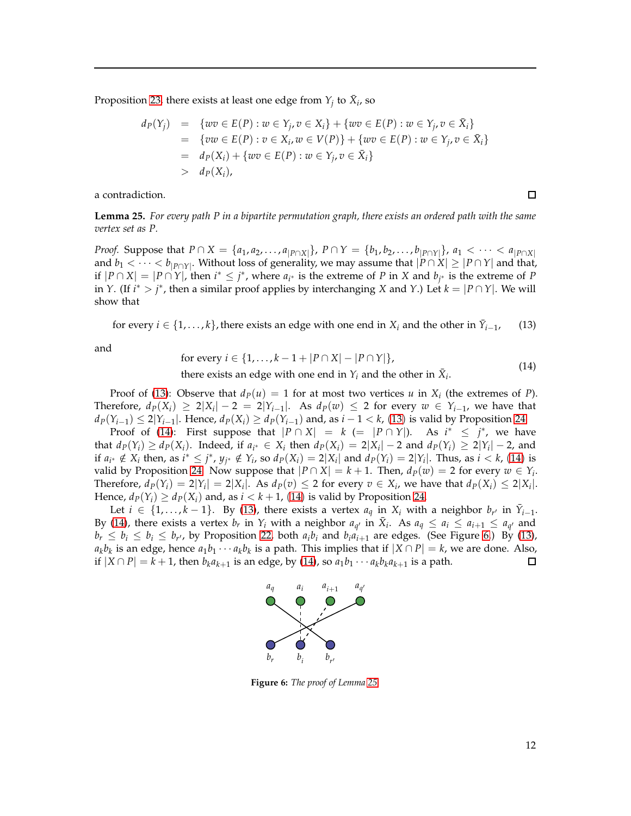Proposition [23,](#page-10-1) there exists at least one edge from  $Y_j$  to  $\bar{X}_i$ , so

$$
d_P(Y_j) = \{ wv \in E(P) : w \in Y_j, v \in X_i \} + \{ wv \in E(P) : w \in Y_j, v \in \bar{X}_i \}
$$
  
= 
$$
\{ vw \in E(P) : v \in X_i, w \in V(P) \} + \{ wv \in E(P) : w \in Y_j, v \in \bar{X}_i \}
$$
  
= 
$$
d_P(X_i) + \{ wv \in E(P) : w \in Y_j, v \in \bar{X}_i \}
$$
  
> 
$$
d_P(X_i),
$$

a contradiction.

<span id="page-11-3"></span>**Lemma 25.** *For every path P in a bipartite permutation graph, there exists an ordered path with the same vertex set as P.*

*Proof.* Suppose that  $P \cap X = \{a_1, a_2, ..., a_{|P \cap X|}\}\$ ,  $P \cap Y = \{b_1, b_2, ..., b_{|P \cap Y|}\}\$ ,  $a_1 < \cdots < a_{|P \cap X|}$ and  $b_1 < \cdots < b_{|P \cap Y|}$ . Without loss of generality, we may assume that  $|P \cap X| \ge |P \cap Y|$  and that, *if*  $|P \cap X| = |P \cap Y|$ , then *i*<sup>\*</sup> ≤ *j*<sup>\*</sup>, where *a<sub><i>i*</sub><sup>\*</sup> is the extreme of *P* in *X* and *b<sub>j<sup>\*</sup>*</sub> is the extreme of *P* in *Y*. (If  $i^* > j^*$ , then a similar proof applies by interchanging *X* and *Y*.) Let  $k = |P \cap Y|$ . We will show that

<span id="page-11-0"></span>for every  $i \in \{1, \ldots, k\}$ , there exists an edge with one end in  $X_i$  and the other in  $\bar{Y}_{i-1}$  $(13)$ 

<span id="page-11-1"></span>and

for every 
$$
i \in \{1, ..., k-1+|P \cap X| - |P \cap Y|\}
$$
, (14)

there exists an edge with one end in  $Y_i$  and the other in  $\bar{X}_i$ .

Proof of [\(13\)](#page-11-0): Observe that  $d_P(u) = 1$  for at most two vertices  $u$  in  $X_i$  (the extremes of  $P$ ). Therefore,  $d_P(X_i) \geq 2|X_i| - 2 = 2|Y_{i-1}|$ . As  $d_P(w) \leq 2$  for every  $w \in Y_{i-1}$ , we have that  $d_P(Y_{i-1}) \leq 2|Y_{i-1}|$ . Hence,  $d_P(X_i) \geq d_P(Y_{i-1})$  and, as  $i-1 < k$ , ([13](#page-11-0)) is valid by Proposition [24.](#page-10-2)

Proof of [\(14\)](#page-11-1): First suppose that  $|P \cap X| = k (= |P \cap Y|)$ . As  $i^* \leq j^*$ , we have that  $d_P(Y_i) \ge d_P(X_i)$ . Indeed, if  $a_{i^*} \in X_i$  then  $d_P(X_i) = 2|X_i| - 2$  and  $d_P(Y_i) \ge 2|Y_i| - 2$ , and if  $a_{i^*} \notin X_i$  then, as  $i^* \leq j^*$ ,  $y_{j^*} \notin Y_i$ , so  $d_P(X_i) = 2|X_i|$  and  $d_P(Y_i) = 2|Y_i|$ . Thus, as  $i < k$ , ([14](#page-11-1)) is valid by Proposition [24.](#page-10-2) Now suppose that  $|P \cap X| = k + 1$ . Then,  $d_P(w) = 2$  for every  $w \in Y_i$ . Therefore,  $d_P(Y_i) = 2|Y_i| = 2|X_i|$ . As  $d_P(v) \le 2$  for every  $v \in X_i$ , we have that  $d_P(X_i) \le 2|X_i|$ . Hence,  $d_P(Y_i) \geq d_P(X_i)$  and, as  $i < k + 1$ , ([14](#page-11-1)) is valid by Proposition [24.](#page-10-2)

<span id="page-11-2"></span>Let  $i \in \{1, ..., k-1\}$ . By [\(13\)](#page-11-0), there exists a vertex  $a_q$  in  $X_i$  with a neighbor  $b_{r'}$  in  $\bar{Y}_{i-1}$ . By [\(14\)](#page-11-1), there exists a vertex  $b_r$  in  $Y_i$  with a neighbor  $a_{q'}$  in  $\bar{X}_i$ . As  $a_q \le a_i \le a_{i+1} \le a_{q'}$  and  $b_r \leq b_i \leq b_i \leq b_{r'}$ , by Proposition [22,](#page-10-3) both  $a_i b_i$  and  $b_i a_{i+1}$  are edges. (See Figure [6.](#page-11-2)) By [\(13\)](#page-11-0),  $a_k b_k$  is an edge, hence  $a_1 b_1 \cdots a_k b_k$  is a path. This implies that if  $|X \cap P| = k$ , we are done. Also, if  $|X \cap P| = k + 1$ , then  $b_k a_{k+1}$  is an edge, by [\(14\)](#page-11-1), so  $a_1 b_1 \cdots a_k b_k a_{k+1}$  is a path.



**Figure 6:** *The proof of Lemma [25.](#page-11-3)*

 $\Box$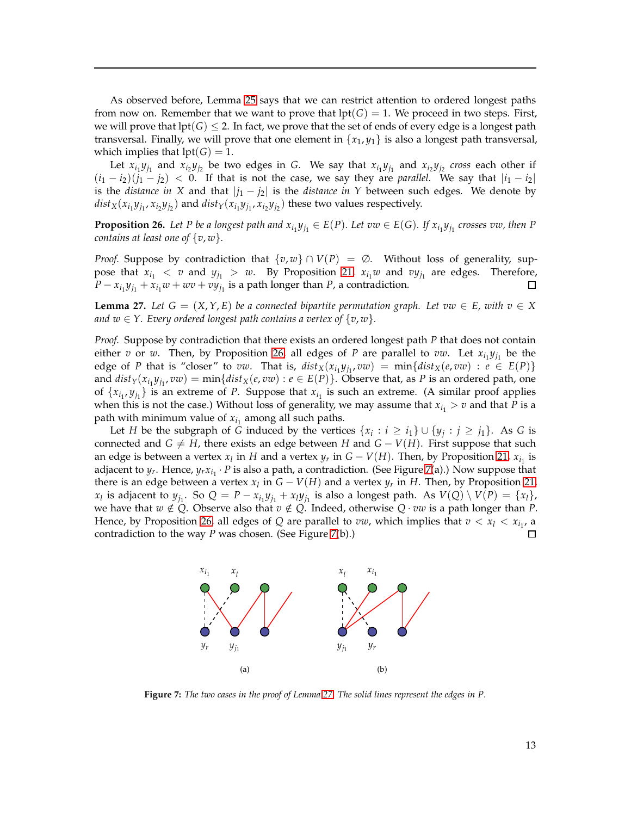As observed before, Lemma [25](#page-11-3) says that we can restrict attention to ordered longest paths from now on. Remember that we want to prove that  $\text{lpt}(G) = 1$ . We proceed in two steps. First, we will prove that  $lpt(G) \leq 2$ . In fact, we prove that the set of ends of every edge is a longest path transversal. Finally, we will prove that one element in  $\{x_1, y_1\}$  is also a longest path transversal, which implies that  $lpt(G) = 1$ .

Let  $x_{i_1}y_{j_1}$  and  $x_{i_2}y_{j_2}$  be two edges in *G*. We say that  $x_{i_1}y_{j_1}$  and  $x_{i_2}y_{j_2}$  cross each other if  $(i_1 - i_2)(j_1 - j_2)$  < 0. If that is not the case, we say they are *parallel*. We say that  $|i_1 - i_2|$ is the *distance in* X and that  $|j_1 - j_2|$  is the *distance in* Y between such edges. We denote by  $dist_X(x_{i_1}y_{j_1}, x_{i_2}y_{j_2})$  and  $dist_Y(x_{i_1}y_{j_1}, x_{i_2}y_{j_2})$  these two values respectively.

<span id="page-12-0"></span>**Proposition 26.** Let P be a longest path and  $x_{i_1}y_{j_1} \in E(P)$ . Let  $vw \in E(G)$ . If  $x_{i_1}y_{j_1}$  crosses  $vw$ , then P *contains at least one of* {*v*, *w*}*.*

*Proof.* Suppose by contradiction that  $\{v, w\} \cap V(P) = \emptyset$ . Without loss of generality, suppose that  $x_{i_1} < v$  and  $y_{j_1} > w$ . By Proposition [21,](#page-9-6)  $x_{i_1}w$  and  $vy_{j_1}$  are edges. Therefore,  $P - x_{i_1}y_{j_1} + x_{i_1}w + wv + vy_{j_1}$  is a path longer than *P*, a contradiction.  $\Box$ 

<span id="page-12-2"></span>**Lemma 27.** *Let*  $G = (X, Y, E)$  *be a connected bipartite permutation graph. Let*  $vw \in E$ *, with*  $v \in X$ *and*  $w \in Y$ . Every ordered longest path contains a vertex of  $\{v, w\}$ .

*Proof.* Suppose by contradiction that there exists an ordered longest path *P* that does not contain either *v* or *w*. Then, by Proposition [26,](#page-12-0) all edges of *P* are parallel to *vw*. Let  $x_{i_1}y_{j_1}$  be the edge of *P* that is "closer" to *vw*. That is,  $dist_X(x_{i_1}y_{j_1},vw) = min\{dist_X(e,vw) : e \in E(P)\}$ and  $dist_Y(x_{i_1}y_{j_1},vw) = min\{dist_X(e,vw) : e \in E(P)\}$ . Observe that, as *P* is an ordered path, one of  $\{x_{i_1}, y_{j_1}\}$  is an extreme of *P*. Suppose that  $x_{i_1}$  is such an extreme. (A similar proof applies when this is not the case.) Without loss of generality, we may assume that  $x_{i_1} > v$  and that *P* is a path with minimum value of  $x_{i_1}$  among all such paths.

Let *H* be the subgraph of *G* induced by the vertices  $\{x_i : i \geq i_1\} \cup \{y_j : j \geq j_1\}$ . As *G* is connected and *G*  $\neq$  *H*, there exists an edge between *H* and *G* − *V*(*H*). First suppose that such an edge is between a vertex  $x_l$  in *H* and a vertex  $y_r$  in  $G - V(H)$ . Then, by Proposition [21,](#page-9-6)  $x_{i_1}$  is adjacent to  $y_r$ . Hence,  $y_r x_{i_1} \cdot P$  is also a path, a contradiction. (See Figure [7\(](#page-12-1)a).) Now suppose that there is an edge between a vertex  $x_l$  in  $G - V(H)$  and a vertex  $y_r$  in *H*. Then, by Proposition [21,](#page-9-6)  $x_l$  is adjacent to  $y_{j_1}$ . So  $Q = P - x_{i_1}y_{j_1} + x_ly_{j_1}$  is also a longest path. As  $V(Q) \setminus V(P) = \{x_l\}$ , we have that  $w \notin Q$ . Observe also that  $v \notin Q$ . Indeed, otherwise  $Q \cdot vw$  is a path longer than *P*. Hence, by Proposition [26,](#page-12-0) all edges of *Q* are parallel to *vw*, which implies that  $v < x_l < x_{i_1}$ , a contradiction to the way *P* was chosen. (See Figure [7\(](#page-12-1)b).)

<span id="page-12-1"></span>

**Figure 7:** *The two cases in the proof of Lemma [27.](#page-12-2) The solid lines represent the edges in P.*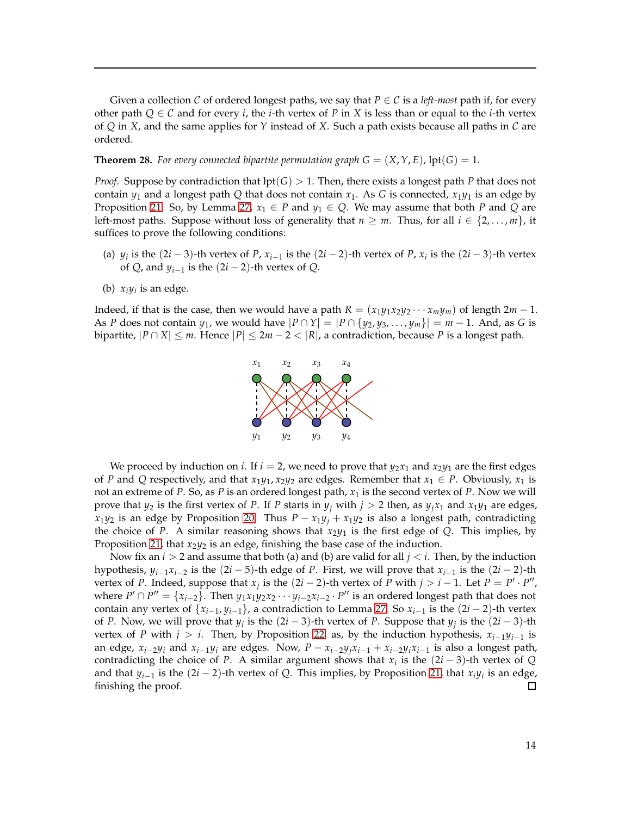Given a collection C of ordered longest paths, we say that  $P \in C$  is a *left-most* path if, for every other path  $Q \in \mathcal{C}$  and for every *i*, the *i*-th vertex of *P* in *X* is less than or equal to the *i*-th vertex of *Q* in *X*, and the same applies for *Y* instead of *X*. Such a path exists because all paths in C are ordered.

#### **Theorem 28.** For every connected bipartite permutation graph  $G = (X, Y, E)$ , lpt( $G$ ) = 1.

*Proof.* Suppose by contradiction that lpt(*G*) > 1. Then, there exists a longest path *P* that does not contain  $y_1$  and a longest path Q that does not contain  $x_1$ . As G is connected,  $x_1y_1$  is an edge by Proposition [21.](#page-9-6) So, by Lemma [27,](#page-12-2)  $x_1 \in P$  and  $y_1 \in Q$ . We may assume that both P and Q are left-most paths. Suppose without loss of generality that  $n \geq m$ . Thus, for all  $i \in \{2, \ldots, m\}$ , it suffices to prove the following conditions:

- (a)  $y_i$  is the  $(2i-3)$ -th vertex of *P*,  $x_{i-1}$  is the  $(2i-2)$ -th vertex of *P*,  $x_i$  is the  $(2i-3)$ -th vertex of  $Q$ , and  $y_{i-1}$  is the  $(2i-2)$ -th vertex of  $Q$ .
- (b)  $x_i y_i$  is an edge.

Indeed, if that is the case, then we would have a path  $R = (x_1y_1x_2y_2 \cdots x_my_m)$  of length  $2m - 1$ . As *P* does not contain *y*<sub>1</sub>, we would have  $|P \cap Y| = |P \cap \{y_2, y_3, \ldots, y_m\}| = m - 1$ . And, as *G* is bipartite,  $|P \cap X| \le m$ . Hence  $|P| \le 2m - 2 < |R|$ , a contradiction, because P is a longest path.



We proceed by induction on *i*. If  $i = 2$ , we need to prove that  $y_2x_1$  and  $x_2y_1$  are the first edges of *P* and *Q* respectively, and that  $x_1y_1$ ,  $x_2y_2$  are edges. Remember that  $x_1 \in P$ . Obviously,  $x_1$  is not an extreme of *P*. So, as *P* is an ordered longest path, *x*<sup>1</sup> is the second vertex of *P*. Now we will prove that  $y_2$  is the first vertex of *P*. If *P* starts in  $y_j$  with  $j > 2$  then, as  $y_j x_1$  and  $x_1 y_1$  are edges, *x*<sub>1</sub>*y*<sub>2</sub> is an edge by Proposition [20.](#page-9-7) Thus *P* − *x*<sub>1</sub>*y*<sub>*j*</sub> + *x*<sub>1</sub>*y*<sub>2</sub> is also a longest path, contradicting the choice of *P*. A similar reasoning shows that  $x_2y_1$  is the first edge of *Q*. This implies, by Proposition [21,](#page-9-6) that  $x_2y_2$  is an edge, finishing the base case of the induction.

<span id="page-13-0"></span>Now fix an *i* > 2 and assume that both (a) and (b) are valid for all *j* < *i*. Then, by the induction hypothesis,  $y_{i-1}x_{i-2}$  is the  $(2i-5)$ -th edge of *P*. First, we will prove that  $x_{i-1}$  is the  $(2i-2)$ -th vertex of *P*. Indeed, suppose that  $x_j$  is the  $(2i - 2)$ -th vertex of *P* with  $j > i - 1$ . Let  $P = P' \cdot P''$ , where  $P' \cap P'' = \{x_{i-2}\}$ . Then  $y_1 x_1 y_2 x_2 \cdots y_{i-2} x_{i-2} \cdot P''$  is an ordered longest path that does not contain any vertex of  $\{x_{i-1}, y_{i-1}\}$ , a contradiction to Lemma [27.](#page-12-2) So  $x_{i-1}$  is the  $(2i - 2)$ -th vertex of *P*. Now, we will prove that  $y_i$  is the  $(2i-3)$ -th vertex of *P*. Suppose that  $y_j$  is the  $(2i-3)$ -th vertex of *P* with  $j > i$ . Then, by Proposition [22,](#page-10-3) as, by the induction hypothesis,  $x_{i-1}y_{i-1}$  is an edge,  $x_{i-2}y_i$  and  $x_{i-1}y_i$  are edges. Now,  $P - x_{i-2}y_jx_{i-1} + x_{i-2}y_ix_{i-1}$  is also a longest path, contradicting the choice of *P*. A similar argument shows that  $x_i$  is the  $(2i - 3)$ -th vertex of *Q* and that *yi*−<sup>1</sup> is the (2*i* − 2)-th vertex of *Q*. This implies, by Proposition [21,](#page-9-6) that *xiy<sup>i</sup>* is an edge, finishing the proof.  $\Box$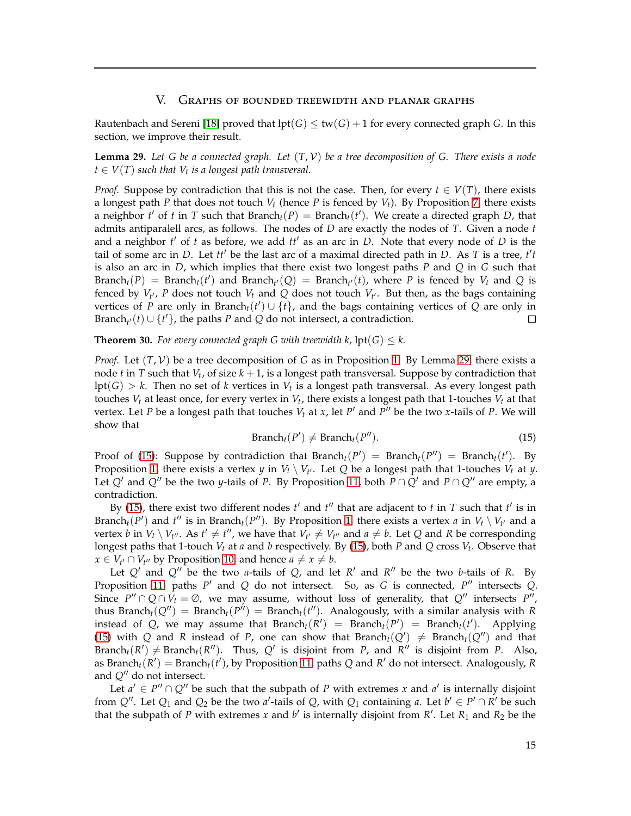## V. Graphs of bounded treewidth and planar graphs

Rautenbach and Sereni [\[18\]](#page-18-10) proved that  $lpt(G) \leq tw(G) + 1$  for every connected graph *G*. In this section, we improve their result.

<span id="page-14-0"></span>**Lemma 29.** *Let G be a connected graph. Let* (*T*, V) *be a tree decomposition of G. There exists a node*  $t \in V(T)$  such that  $V_t$  is a longest path transversal.

*Proof.* Suppose by contradiction that this is not the case. Then, for every  $t \in V(T)$ , there exists a longest path *P* that does not touch  $V_t$  (hence *P* is fenced by  $V_t$ ). By Proposition [7,](#page-3-7) there exists a neighbor  $t'$  of  $t$  in  $T$  such that Branch $_t(P) =$  Branch $_t(t')$ . We create a directed graph  $D$ , that admits antiparalell arcs, as follows. The nodes of *D* are exactly the nodes of *T*. Given a node *t* and a neighbor *t* ′ of *t* as before, we add *tt*′ as an arc in *D*. Note that every node of *D* is the tail of some arc in *D*. Let *tt*′ be the last arc of a maximal directed path in *D*. As *T* is a tree, *t* ′ *t* is also an arc in *D*, which implies that there exist two longest paths *P* and *Q* in *G* such that  $\text{Branch}_t(P) = \text{Branch}_t(t')$  and  $\text{Branch}_{t'}(Q) = \text{Branch}_{t'}(t)$ , where *P* is fenced by  $V_t$  and *Q* is fenced by  $V_{t'}$ , P does not touch  $V_t$  and Q does not touch  $V_{t'}$ . But then, as the bags containing vertices of *P* are only in Branch<sub>t</sub>(*t'*)  $\cup$  {*t*}, and the bags containing vertices of *Q* are only in Branch<sub>t</sub><sup>*i*</sup>(*t*)  $\cup$  {*t*<sup>*'*</sup>}, the paths *P* and *Q* do not intersect, a contradiction.

## **Theorem 30.** For every connected graph G with treewidth k,  $\text{lpt}(G) \leq k$ .

*Proof.* Let  $(T, V)$  be a tree decomposition of *G* as in Proposition [1.](#page-2-0) By Lemma [29,](#page-14-0) there exists a node *t* in *T* such that *V<sup>t</sup>* , of size *k* + 1, is a longest path transversal. Suppose by contradiction that  $\text{lpt}(G) > k$ . Then no set of *k* vertices in  $V_t$  is a longest path transversal. As every longest path touches *V<sup>t</sup>* at least once, for every vertex in *V<sup>t</sup>* , there exists a longest path that 1-touches *V<sup>t</sup>* at that vertex. Let *P* be a longest path that touches  $V_t$  at *x*, let *P'* and *P''* be the two *x*-tails of *P*. We will show that

$$
Branch_t(P') \neq Branch_t(P''). \tag{15}
$$

<span id="page-14-1"></span>Proof of [\(15\)](#page-14-1): Suppose by contradiction that Branch<sub>t</sub>( $P'$ ) = Branch<sub>t</sub>( $P''$ ) = Branch<sub>t</sub>( $t'$ ). By Proposition [1,](#page-2-0) there exists a vertex *y* in  $V_t \setminus V_{t'}$ . Let *Q* be a longest path that 1-touches  $V_t$  at *y*. Let *Q'* and *Q''* be the two *y*-tails of *P*. By Proposition [11,](#page-3-8) both  $P \cap Q'$  and  $P \cap Q''$  are empty, a contradiction.

By [\(15\)](#page-14-1), there exist two different nodes *t'* and *t''* that are adjacent to *t* in *T* such that *t'* is in Branch<sub>*t*</sub>(*P*<sup>*'*</sup>) and *t*<sup>*''*</sup> is in Branch<sub>*t*</sub>(*P*<sup>*''*</sup>). By Proposition [1,](#page-2-0) there exists a vertex *a* in  $V_t \setminus V_{t'}$  and a vertex *b* in  $V_t \setminus V_{t''}$ . As  $t' \neq t''$ , we have that  $V_{t'} \neq V_{t''}$  and  $a \neq b$ . Let *Q* and *R* be corresponding longest paths that 1-touch *V<sup>t</sup>* at *a* and *b* respectively. By [\(15\)](#page-14-1), both *P* and *Q* cross *V<sup>t</sup>* . Observe that *x* ∈ *V*<sup>*t*</sup> ∩ *V*<sup>*t*</sup><sup>*v*</sup> by Proposition [10,](#page-3-6) and hence *a* ≠ *x* ≠ *b*.

Let *Q*′ and *Q*′′ be the two *a*-tails of *Q*, and let *R* ′ and *R* ′′ be the two *b*-tails of *R*. By Proposition [11,](#page-3-8) paths *P* ′ and *Q* do not intersect. So, as *G* is connected, *P* ′′ intersects *Q*. Since  $P'' \cap Q \cap V_t = \emptyset$ , we may assume, without loss of generality, that  $Q''$  intersects  $P''$ , thus Branch<sub>t</sub>( $Q''$ ) = Branch<sub>t</sub>( $P''$ ) = Branch<sub>t</sub>( $t''$ ). Analogously, with a similar analysis with *R* instead of *Q*, we may assume that  $Branch_t(R') = Branch_t(P') = Branch_t(t')$ . Applying [\(15\)](#page-14-1) with *Q* and *R* instead of *P*, one can show that Branch<sub>t</sub>( $Q'$ )  $\neq$  Branch<sub>t</sub>( $Q''$ ) and that Branch<sub>t</sub>(*R'*)  $\neq$  Branch<sub>t</sub>(*R''*). Thus, *Q'* is disjoint from *P*, and *R''* is disjoint from *P*. Also, as Branch $t(R') =$  Branch $t(t')$ , by Proposition [11,](#page-3-8) paths  $Q$  and  $R'$  do not intersect. Analogously,  $R$ and *Q*′′ do not intersect.

Let  $a' \in P'' \cap Q''$  be such that the subpath of *P* with extremes *x* and  $a'$  is internally disjoint from  $Q''$ . Let  $Q_1$  and  $Q_2$  be the two *a'*-tails of  $Q$ , with  $Q_1$  containing *a*. Let  $b' \in P' \cap R'$  be such that the subpath of *P* with extremes *x* and  $b'$  is internally disjoint from  $R'$ . Let  $R_1$  and  $R_2$  be the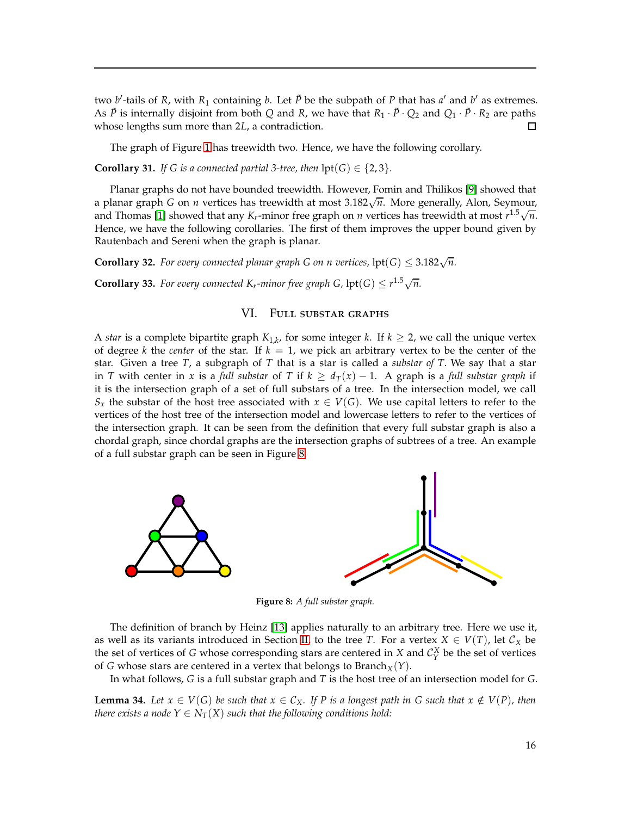two *b*'-tails of *R*, with *R*<sub>1</sub> containing *b*. Let  $\tilde{P}$  be the subpath of *P* that has *a'* and *b'* as extremes. As  $\tilde{P}$  is internally disjoint from both *Q* and *R*, we have that  $R_1 \cdot \tilde{P} \cdot Q_2$  and  $Q_1 \cdot \tilde{P} \cdot R_2$  are paths whose lengths sum more than 2*L*, a contradiction. whose lengths sum more than 2*L*, a contradiction.

The graph of Figure [1](#page-1-0) has treewidth two. Hence, we have the following corollary.

**Corollary 31.** *If G is a connected partial 3-tree, then*  $\text{lpt}(G) \in \{2, 3\}$ *.* 

Planar graphs do not have bounded treewidth. However, Fomin and Thilikos [\[9\]](#page-18-15) showed that a planar graph *G* on *n* vertices has treewidth at most  $3.182\sqrt{n}$ . More generally, Alon, Seymour, and Thomas [\[1\]](#page-17-4) showed that any *K<sub>r</sub>*-minor free graph on *n* vertices has treewidth at most  $r^{1.5}\sqrt{n}$ . Hence, we have the following corollaries. The first of them improves the upper bound given by Rautenbach and Sereni when the graph is planar.

**Corollary 32.** *For every connected planar graph G on n vertices,*  $lpt(G) \leq 3.182\sqrt{n}$ *.* 

<span id="page-15-0"></span>**Corollary 33.** For every connected  $K_r$ -minor free graph  $G$ ,  $\text{lpt}(G) \leq r^{1.5}\sqrt{n}$ .

# VI. Full substar graphs

A *star* is a complete bipartite graph  $K_{1,k}$ , for some integer *k*. If  $k \geq 2$ , we call the unique vertex of degree *k* the *center* of the star. If  $k = 1$ , we pick an arbitrary vertex to be the center of the star. Given a tree *T*, a subgraph of *T* that is a star is called a *substar of T*. We say that a star in *T* with center in *x* is a *full substar* of *T* if  $k \geq d_T(x) - 1$ . A graph is a *full substar graph* if it is the intersection graph of a set of full substars of a tree. In the intersection model, we call *S*<sub>*x*</sub> the substar of the host tree associated with  $x \in V(G)$ . We use capital letters to refer to the vertices of the host tree of the intersection model and lowercase letters to refer to the vertices of the intersection graph. It can be seen from the definition that every full substar graph is also a chordal graph, since chordal graphs are the intersection graphs of subtrees of a tree. An example of a full substar graph can be seen in Figure [8.](#page-15-1)

<span id="page-15-1"></span>

**Figure 8:** *A full substar graph.*

The definition of branch by Heinz [\[13\]](#page-18-14) applies naturally to an arbitrary tree. Here we use it, as well as its variants introduced in Section [II,](#page-1-1) to the tree *T*. For a vertex  $X \in V(T)$ , let  $C_X$  be the set of vertices of *G* whose corresponding stars are centered in *X* and  $C_Y^X$  be the set of vertices of *G* whose stars are centered in a vertex that belongs to Branch<sub>*X*</sub>(*Y*).

In what follows, *G* is a full substar graph and *T* is the host tree of an intersection model for *G*.

<span id="page-15-2"></span>**Lemma 34.** Let  $x \in V(G)$  be such that  $x \in C_X$ . If P is a longest path in G such that  $x \notin V(P)$ , then *there exists a node*  $Y \in N_T(X)$  *such that the following conditions hold:*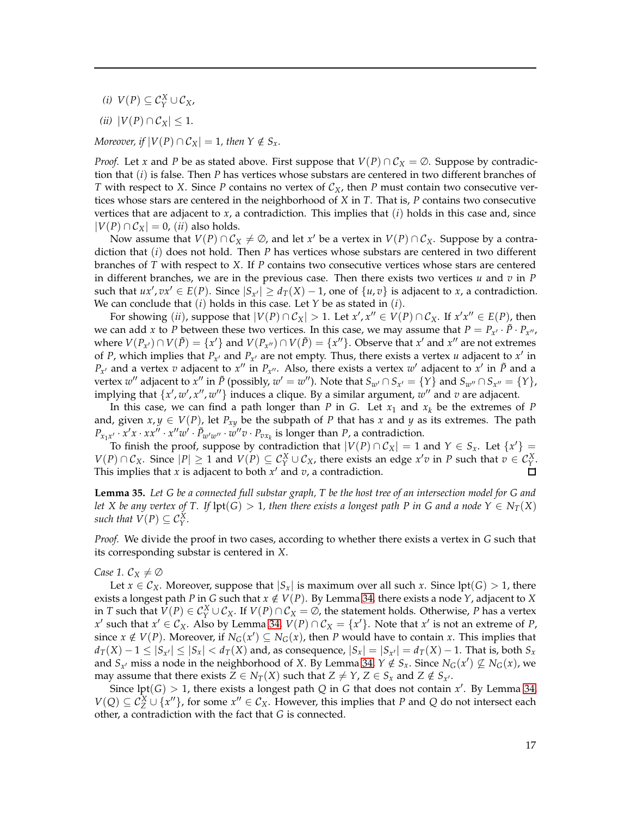- *(i)*  $V(P) ⊆ C_Y^X ∪ C_X$ ,
- *(ii)*  $|V(P) \cap C_X|$  ≤ 1.

*Moreover, if*  $|V(P) \cap C_X| = 1$ *, then*  $Y \notin S_X$ *.* 

*Proof.* Let *x* and *P* be as stated above. First suppose that  $V(P) \cap C_X = \emptyset$ . Suppose by contradiction that (*i*) is false. Then *P* has vertices whose substars are centered in two different branches of *T* with respect to *X*. Since *P* contains no vertex of  $C_X$ , then *P* must contain two consecutive vertices whose stars are centered in the neighborhood of *X* in *T*. That is, *P* contains two consecutive vertices that are adjacent to  $x$ , a contradiction. This implies that  $(i)$  holds in this case and, since  $|V(P) \cap C_X| = 0$ , *(ii)* also holds.

Now assume that  $V(P) \cap C_X \neq \emptyset$ , and let *x'* be a vertex in  $V(P) \cap C_X$ . Suppose by a contradiction that (*i*) does not hold. Then *P* has vertices whose substars are centered in two different branches of *T* with respect to *X*. If *P* contains two consecutive vertices whose stars are centered in different branches, we are in the previous case. Then there exists two vertices *u* and *v* in *P* such that  $ux', vx' \in E(P)$ . Since  $|S_{x'}| \ge d_T(X) - 1$ , one of  $\{u, v\}$  is adjacent to *x*, a contradiction. We can conclude that (*i*) holds in this case. Let *Y* be as stated in (*i*).

For showing (*ii*), suppose that  $|V(P) \cap C_X| > 1$ . Let  $x', x'' \in V(P) \cap C_X$ . If  $x'x'' \in E(P)$ , then we can add *x* to *P* between these two vertices. In this case, we may assume that  $P = P_{x'} \cdot \tilde{P} \cdot P_{x''},$ where  $V(P_{x'}) \cap V(\tilde{P}) = \{x'\}$  and  $V(P_{x''}) \cap V(\tilde{P}) = \{x''\}$ . Observe that  $x'$  and  $x''$  are not extremes of *P*, which implies that  $P_{x'}$  and  $P_{x'}$  are not empty. Thus, there exists a vertex *u* adjacent to  $x'$  in  $P_{x'}$  and a vertex *v* adjacent to *x*<sup>"</sup> in  $P_{x''}$ . Also, there exists a vertex *w*' adjacent to *x*' in  $\tilde{P}$  and a vertex  $w''$  adjacent to  $x''$  in  $\tilde{P}$  (possibly,  $w' = w''$ ). Note that  $S_{w'} \cap S_{x'} = \{Y\}$  and  $S_{w''} \cap S_{x''} = \{Y\}$ , implying that  $\{x', w', x'', w''\}$  induces a clique. By a similar argument,  $w''$  and  $v$  are adjacent.

In this case, we can find a path longer than *P* in *G*. Let  $x_1$  and  $x_k$  be the extremes of *P* and, given  $x, y \in V(P)$ , let  $P_{xy}$  be the subpath of P that has x and y as its extremes. The path  $P_{x_1x'} \cdot x'x \cdot xx'' \cdot x''w' \cdot \tilde{P}_{w'w''} \cdot w''v \cdot P_{vx_k}$  is longer than *P*, a contradiction.

To finish the proof, suppose by contradiction that  $|V(P) \cap C_X| = 1$  and  $Y \in S_X$ . Let  $\{x'\} = \sum_{x}$  $V(P) \cap C_X$ . Since  $|P| \ge 1$  and  $V(P) \subseteq C_Y^X \cup C_X$ , there exists an edge  $x'v$  in *P* such that  $v \in C_Y^X$ . This implies that *x* is adjacent to both *x* ′ and *v*, a contradiction.

<span id="page-16-0"></span>**Lemma 35.** *Let G be a connected full substar graph, T be the host tree of an intersection model for G and let* X be any vertex of T. If  $\text{lpt}(G) > 1$ , then there exists a longest path P in G and a node  $Y \in N_T(X)$ *such that*  $V(P) \subseteq C_Y^X$ .

*Proof.* We divide the proof in two cases, according to whether there exists a vertex in *G* such that its corresponding substar is centered in *X*.

## *Case 1.*  $C_X \neq \emptyset$

Let  $x \in C_X$ . Moreover, suppose that  $|S_x|$  is maximum over all such x. Since lpt(*G*) > 1, there exists a longest path *P* in *G* such that  $x \notin V(P)$ . By Lemma [34,](#page-15-2) there exists a node *Y*, adjacent to *X* in *T* such that  $V(P) \in C_Y^X \cup C_X$ . If  $V(P) \cap C_X = \emptyset$ , the statement holds. Otherwise, *P* has a vertex *x*<sup> $′$ </sup> such that *x*<sup> $′$ </sup> ∈  $\mathcal{C}_X$ . Also by Lemma [34,](#page-15-2)  $V(P) ∩ \mathcal{C}_X = \{x\}$ . Note that *x*<sup> $′$ </sup> is not an extreme of *P*, since  $x \notin V(P)$ . Moreover, if  $N_G(x') \subseteq N_G(x)$ , then *P* would have to contain *x*. This implies that  $d_T(X) - 1 \leq |S_{x'}| \leq |S_x| < d_T(X)$  and, as consequence,  $|S_x| = |S_{x'}| = d_T(X) - 1$ . That is, both  $S_x$ and  $S_{x'}$  miss a node in the neighborhood of *X*. By Lemma [34,](#page-15-2)  $Y \notin S_x$ . Since  $N_G(x') \nsubseteq N_G(x)$ , we may assume that there exists  $Z \in N_T(X)$  such that  $Z \neq Y$ ,  $Z \in S_x$  and  $Z \notin S_{x'}$ .

Since  $\text{lpt}(G) > 1$ , there exists a longest path Q in G that does not contain x'. By Lemma [34,](#page-15-2) *V*(*Q*) ⊆  $C_Z^X$  ∪ {*x*<sup>''</sup>}, for some *x*<sup>''</sup> ∈  $C_X$ . However, this implies that *P* and *Q* do not intersect each other, a contradiction with the fact that *G* is connected.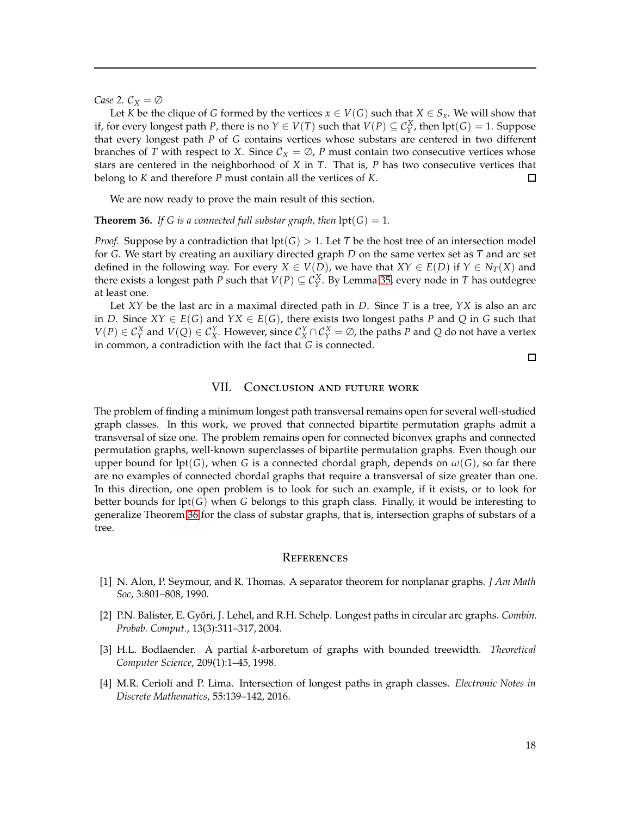*Case* 2.  $C_X = \emptyset$ 

Let *K* be the clique of *G* formed by the vertices  $x \in V(G)$  such that  $X \in S_x$ . We will show that if, for every longest path *P*, there is no  $Y \in V(T)$  such that  $V(P) \subseteq C_Y^X$ , then  $lpt(G) = 1$ . Suppose that every longest path *P* of *G* contains vertices whose substars are centered in two different branches of *T* with respect to *X*. Since  $C_X = \emptyset$ , *P* must contain two consecutive vertices whose stars are centered in the neighborhood of *X* in *T*. That is, *P* has two consecutive vertices that  $\Box$ belong to *K* and therefore *P* must contain all the vertices of *K*.

We are now ready to prove the main result of this section.

<span id="page-17-5"></span>**Theorem 36.** *If G is a connected full substar graph, then*  $\text{lpt}(G) = 1$ *.* 

*Proof.* Suppose by a contradiction that  $\text{lpt}(G) > 1$ . Let *T* be the host tree of an intersection model for *G*. We start by creating an auxiliary directed graph *D* on the same vertex set as *T* and arc set defined in the following way. For every  $X \in V(D)$ , we have that  $XY \in E(D)$  if  $Y \in N_T(X)$  and there exists a longest path *P* such that  $V(P) \subseteq C_Y^X$ . By Lemma [35,](#page-16-0) every node in *T* has outdegree at least one.

Let *XY* be the last arc in a maximal directed path in *D*. Since *T* is a tree, *YX* is also an arc in *D*. Since *XY* ∈ *E*(*G*) and *YX* ∈ *E*(*G*), there exists two longest paths *P* and *Q* in *G* such that  $V(P) \in C_Y^X$  and  $V(Q) \in C_X^Y$ . However, since  $C_X^Y \cap C_Y^X = \emptyset$ , the paths *P* and *Q* do not have a vertex in common, a contradiction with the fact that *G* is connected.

 $\Box$ 

## VII. Conclusion and future work

<span id="page-17-2"></span>The problem of finding a minimum longest path transversal remains open for several well-studied graph classes. In this work, we proved that connected bipartite permutation graphs admit a transversal of size one. The problem remains open for connected biconvex graphs and connected permutation graphs, well-known superclasses of bipartite permutation graphs. Even though our upper bound for lpt(*G*), when *G* is a connected chordal graph, depends on  $\omega(G)$ , so far there are no examples of connected chordal graphs that require a transversal of size greater than one. In this direction, one open problem is to look for such an example, if it exists, or to look for better bounds for lpt(*G*) when *G* belongs to this graph class. Finally, it would be interesting to generalize Theorem [36](#page-17-5) for the class of substar graphs, that is, intersection graphs of substars of a tree.

#### **REFERENCES**

- <span id="page-17-4"></span><span id="page-17-0"></span>[1] N. Alon, P. Seymour, and R. Thomas. A separator theorem for nonplanar graphs. *J Am Math Soc*, 3:801–808, 1990.
- [2] P.N. Balister, E. Győri, J. Lehel, and R.H. Schelp. Longest paths in circular arc graphs. *Combin. Probab. Comput.*, 13(3):311–317, 2004.
- <span id="page-17-3"></span>[3] H.L. Bodlaender. A partial *k*-arboretum of graphs with bounded treewidth. *Theoretical Computer Science*, 209(1):1–45, 1998.
- <span id="page-17-1"></span>[4] M.R. Cerioli and P. Lima. Intersection of longest paths in graph classes. *Electronic Notes in Discrete Mathematics*, 55:139–142, 2016.